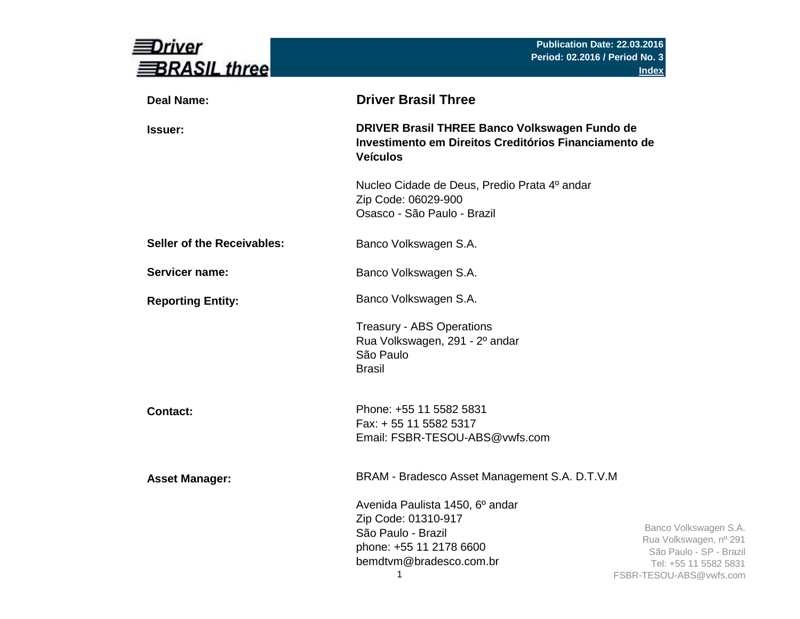| river<br><b>BRASIL three</b> |                                                                                                                                         | Publication Date: 22.03.2016<br>Period: 02.2016 / Period No. 3<br><b>Index</b>                                                 |
|------------------------------|-----------------------------------------------------------------------------------------------------------------------------------------|--------------------------------------------------------------------------------------------------------------------------------|
| <b>Deal Name:</b>            | <b>Driver Brasil Three</b>                                                                                                              |                                                                                                                                |
| Issuer:                      | DRIVER Brasil THREE Banco Volkswagen Fundo de<br>Investimento em Direitos Creditórios Financiamento de<br><b>Veículos</b>               |                                                                                                                                |
|                              | Nucleo Cidade de Deus, Predio Prata 4º andar<br>Zip Code: 06029-900<br>Osasco - São Paulo - Brazil                                      |                                                                                                                                |
| Seller of the Receivables:   | Banco Volkswagen S.A.                                                                                                                   |                                                                                                                                |
| Servicer name:               | Banco Volkswagen S.A.                                                                                                                   |                                                                                                                                |
| <b>Reporting Entity:</b>     | Banco Volkswagen S.A.                                                                                                                   |                                                                                                                                |
|                              | <b>Treasury - ABS Operations</b><br>Rua Volkswagen, 291 - 2º andar<br>São Paulo<br><b>Brasil</b>                                        |                                                                                                                                |
| <b>Contact:</b>              | Phone: +55 11 5582 5831<br>Fax: + 55 11 5582 5317<br>Email: FSBR-TESOU-ABS@vwfs.com                                                     |                                                                                                                                |
| <b>Asset Manager:</b>        | BRAM - Bradesco Asset Management S.A. D.T.V.M                                                                                           |                                                                                                                                |
|                              | Avenida Paulista 1450, 6º andar<br>Zip Code: 01310-917<br>São Paulo - Brazil<br>phone: +55 11 2178 6600<br>bemdtvm@bradesco.com.br<br>1 | Banco Volkswagen S.A.<br>Rua Volkswagen, nº 291<br>São Paulo - SP - Brazil<br>Tel: +55 11 5582 5831<br>FSBR-TESOU-ABS@vwfs.com |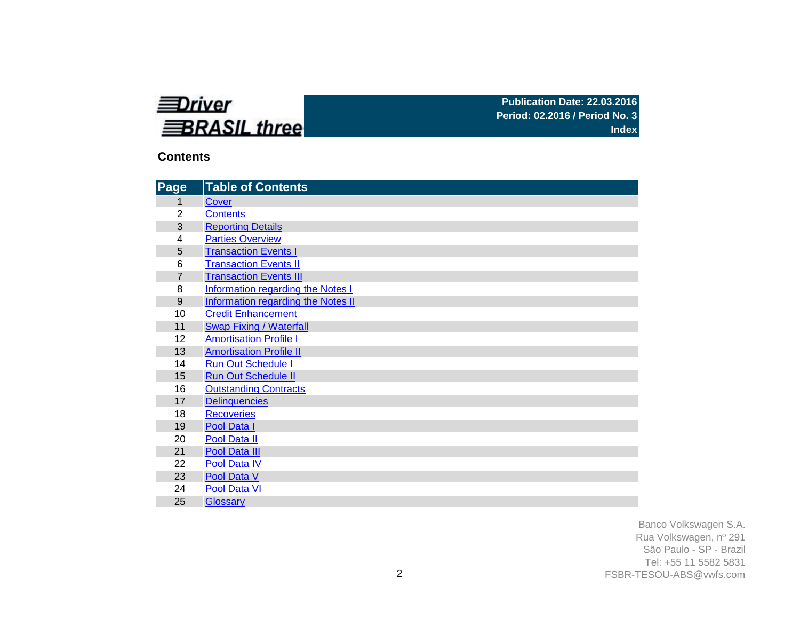

# **Contents**

| Page           | <b>Table of Contents</b>                  |
|----------------|-------------------------------------------|
| 1              | Cover                                     |
| $\overline{2}$ | <b>Contents</b>                           |
| 3              | <b>Reporting Details</b>                  |
| 4              | <b>Parties Overview</b>                   |
| 5              | <b>Transaction Events I</b>               |
| 6              | <b>Transaction Events II</b>              |
| $\overline{7}$ | <b>Transaction Events III</b>             |
| 8              | Information regarding the Notes I         |
| 9              | <b>Information regarding the Notes II</b> |
| 10             | <b>Credit Enhancement</b>                 |
| 11             | <b>Swap Fixing / Waterfall</b>            |
| 12             | <b>Amortisation Profile I</b>             |
| 13             | <b>Amortisation Profile II</b>            |
| 14             | <b>Run Out Schedule I</b>                 |
| 15             | <b>Run Out Schedule II</b>                |
| 16             | <b>Outstanding Contracts</b>              |
| 17             | <b>Delinquencies</b>                      |
| 18             | <b>Recoveries</b>                         |
| 19             | Pool Data I                               |
| 20             | Pool Data II                              |
| 21             | Pool Data III                             |
| 22             | Pool Data IV                              |
| 23             | Pool Data V                               |
| 24             | Pool Data VI                              |
| 25             | <b>Glossary</b>                           |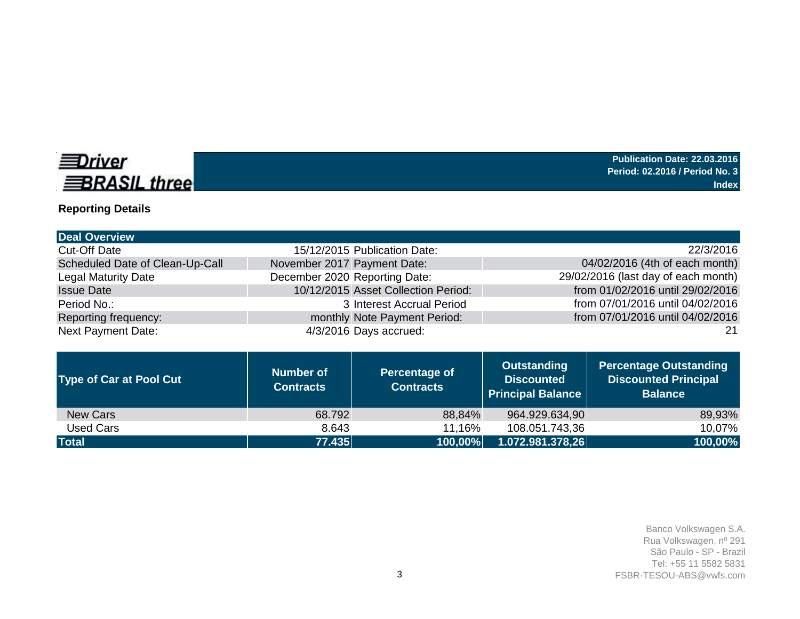

# **Reporting Details**

|                                 | <b>Number of</b>            | Percentage of                       | <b>Outstanding</b> | <b>Percentage Outstanding</b>       |
|---------------------------------|-----------------------------|-------------------------------------|--------------------|-------------------------------------|
| <b>Next Payment Date:</b>       |                             | 4/3/2016 Days accrued:              |                    | 21                                  |
| Reporting frequency:            |                             | monthly Note Payment Period:        |                    | from 07/01/2016 until 04/02/2016    |
| Period No.:                     |                             | 3 Interest Accrual Period           |                    | from 07/01/2016 until 04/02/2016    |
| <b>Issue Date</b>               |                             | 10/12/2015 Asset Collection Period: |                    | from 01/02/2016 until 29/02/2016    |
| <b>Legal Maturity Date</b>      |                             | December 2020 Reporting Date:       |                    | 29/02/2016 (last day of each month) |
| Scheduled Date of Clean-Up-Call | November 2017 Payment Date: |                                     |                    | 04/02/2016 (4th of each month)      |
| <b>Cut-Off Date</b>             |                             | 15/12/2015 Publication Date:        |                    | 22/3/2016                           |
| <b>Deal Overview</b>            |                             |                                     |                    |                                     |

| <b>Type of Car at Pool Cut</b> | Number of<br><b>Contracts</b> | <b>Percentage of</b><br><b>Contracts</b> | <b>Discounted</b><br>Principal Balance | <b>Discounted Principal</b><br><b>Balance</b> |
|--------------------------------|-------------------------------|------------------------------------------|----------------------------------------|-----------------------------------------------|
| <b>New Cars</b>                | 68.792                        | 88,84%                                   | 964.929.634,90                         | 89,93%                                        |
| Used Cars                      | 8.643                         | 11,16%                                   | 108.051.743,36                         | 10,07%                                        |
| <b>Total</b>                   | 77.435                        | $ 100.00\% $                             | 1.072.981.378,26                       | 100,00%                                       |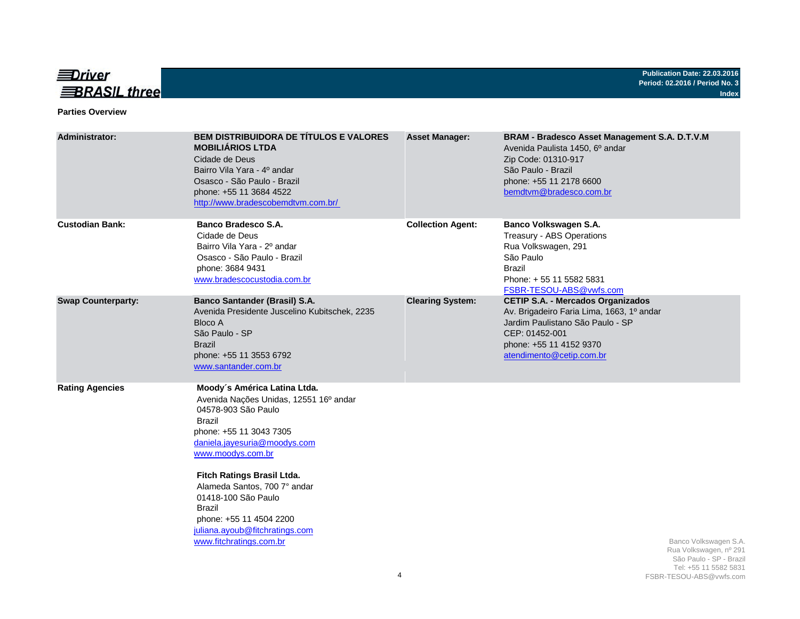

#### **Parties Overview**

| <b>Administrator:</b>     | <b>BEM DISTRIBUIDORA DE TÍTULOS E VALORES</b><br><b>MOBILIÁRIOS LTDA</b><br>Cidade de Deus<br>Bairro Vila Yara - 4º andar<br>Osasco - São Paulo - Brazil<br>phone: +55 11 3684 4522<br>http://www.bradescobemdtvm.com.br/                                                                                                                                                             | <b>Asset Manager:</b>    | BRAM - Bradesco Asset Management S.A. D.T.V.M<br>Avenida Paulista 1450, 6º andar<br>Zip Code: 01310-917<br>São Paulo - Brazil<br>phone: +55 11 2178 6600<br>bemdtvm@bradesco.com.br                |
|---------------------------|---------------------------------------------------------------------------------------------------------------------------------------------------------------------------------------------------------------------------------------------------------------------------------------------------------------------------------------------------------------------------------------|--------------------------|----------------------------------------------------------------------------------------------------------------------------------------------------------------------------------------------------|
| <b>Custodian Bank:</b>    | <b>Banco Bradesco S.A.</b><br>Cidade de Deus<br>Bairro Vila Yara - 2º andar<br>Osasco - São Paulo - Brazil<br>phone: 3684 9431<br>www.bradescocustodia.com.br                                                                                                                                                                                                                         | <b>Collection Agent:</b> | Banco Volkswagen S.A.<br>Treasury - ABS Operations<br>Rua Volkswagen, 291<br>São Paulo<br><b>Brazil</b><br>Phone: +55 11 5582 5831<br>FSBR-TESOU-ABS@vwfs.com                                      |
| <b>Swap Counterparty:</b> | <b>Banco Santander (Brasil) S.A.</b><br>Avenida Presidente Juscelino Kubitschek, 2235<br><b>Bloco A</b><br>São Paulo - SP<br><b>Brazil</b><br>phone: +55 11 3553 6792<br>www.santander.com.br                                                                                                                                                                                         | <b>Clearing System:</b>  | <b>CETIP S.A. - Mercados Organizados</b><br>Av. Brigadeiro Faria Lima, 1663, 1º andar<br>Jardim Paulistano São Paulo - SP<br>CEP: 01452-001<br>phone: +55 11 4152 9370<br>atendimento@cetip.com.br |
| <b>Rating Agencies</b>    | Moody's América Latina Ltda.<br>Avenida Nações Unidas, 12551 16º andar<br>04578-903 São Paulo<br><b>Brazil</b><br>phone: +55 11 3043 7305<br>daniela.jayesuria@moodys.com<br>www.moodys.com.br<br>Fitch Ratings Brasil Ltda.<br>Alameda Santos, 700 7° andar<br>01418-100 São Paulo<br>Brazil<br>phone: +55 11 4504 2200<br>juliana.ayoub@fitchratings.com<br>www.fitchratings.com.br |                          | Banco Volkswagen S.A.<br>Rua Volkswagen, nº 291<br>São Paulo - SP - Brazil<br>Tel: +55 11 5582 5831                                                                                                |
|                           |                                                                                                                                                                                                                                                                                                                                                                                       | 4                        | FSBR-TESOU-ABS@vwfs.com                                                                                                                                                                            |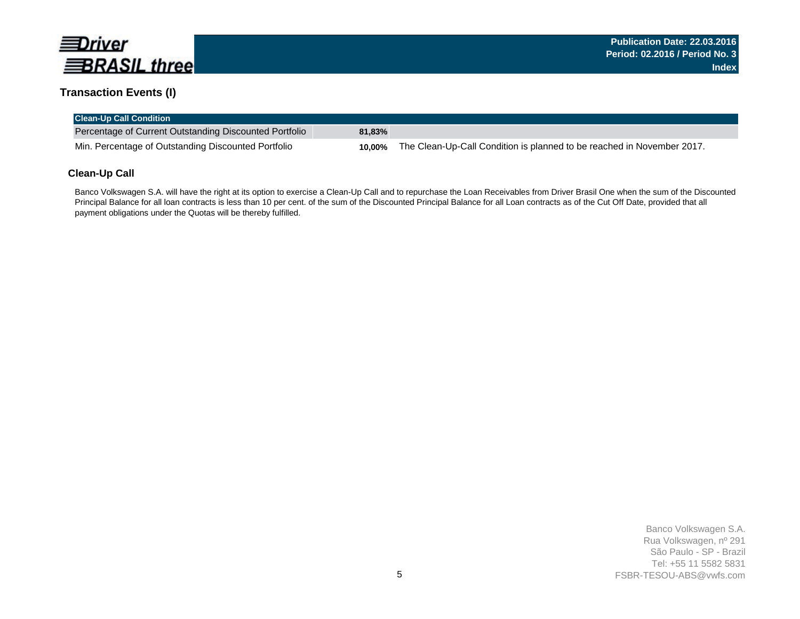

### **Transaction Events (I)**

| <b>Clean-Up Call Condition</b>                         |           |                                                                        |
|--------------------------------------------------------|-----------|------------------------------------------------------------------------|
| Percentage of Current Outstanding Discounted Portfolio | $81.83\%$ |                                                                        |
| Min. Percentage of Outstanding Discounted Portfolio    | 10.00%    | The Clean-Up-Call Condition is planned to be reached in November 2017. |

### **Clean-Up Call**

Banco Volkswagen S.A. will have the right at its option to exercise a Clean-Up Call and to repurchase the Loan Receivables from Driver Brasil One when the sum of the Discounted Principal Balance for all loan contracts is less than 10 per cent. of the sum of the Discounted Principal Balance for all Loan contracts as of the Cut Off Date, provided that all payment obligations under the Quotas will be thereby fulfilled.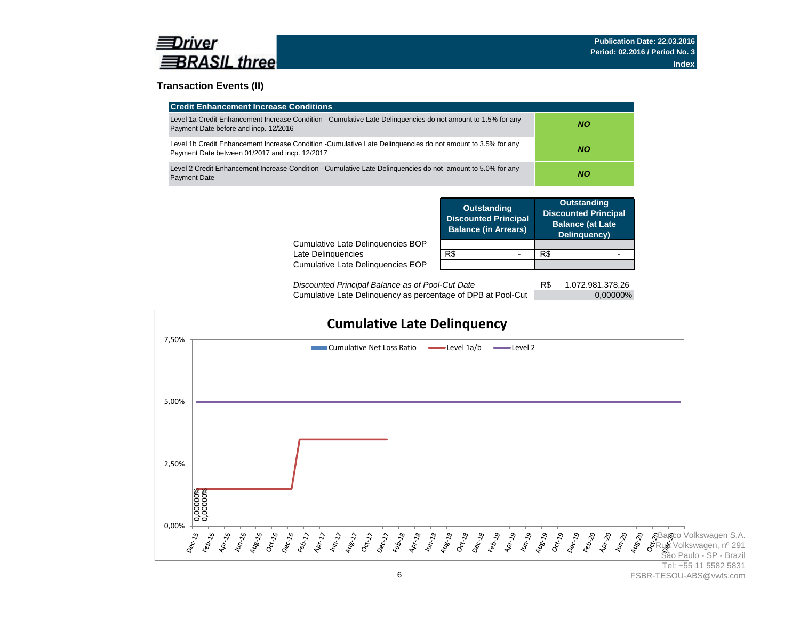

### **Transaction Events (II)**

| <b>Credit Enhancement Increase Conditions</b>                                                                                                                 |     |
|---------------------------------------------------------------------------------------------------------------------------------------------------------------|-----|
| Level 1a Credit Enhancement Increase Condition - Cumulative Late Delinguencies do not amount to 1.5% for any<br>Payment Date before and incp. 12/2016         | NO. |
| Level 1b Credit Enhancement Increase Condition -Cumulative Late Delinguencies do not amount to 3.5% for any<br>Payment Date between 01/2017 and incp. 12/2017 | NO. |
| Level 2 Credit Enhancement Increase Condition - Cumulative Late Delinguencies do not amount to 5.0% for any<br><b>Payment Date</b>                            | NO. |

|                                                         | <b>Outstanding</b><br><b>Discounted Principal</b><br><b>Balance (in Arrears)</b> | <b>Outstanding</b><br><b>Discounted Principal</b><br><b>Balance (at Late</b><br>Delinquency) |
|---------------------------------------------------------|----------------------------------------------------------------------------------|----------------------------------------------------------------------------------------------|
| Cumulative Late Delinguencies BOP<br>Late Delinquencies | R\$                                                                              | R\$                                                                                          |
| Cumulative Late Delinguencies EOP                       |                                                                                  |                                                                                              |
|                                                         |                                                                                  |                                                                                              |

R\$ 1.072.981.378,26 Cumulative Late Delinquency as percentage of DPB at Pool-Cut 0,00000% *Discounted Principal Balance as of Pool-Cut Date*

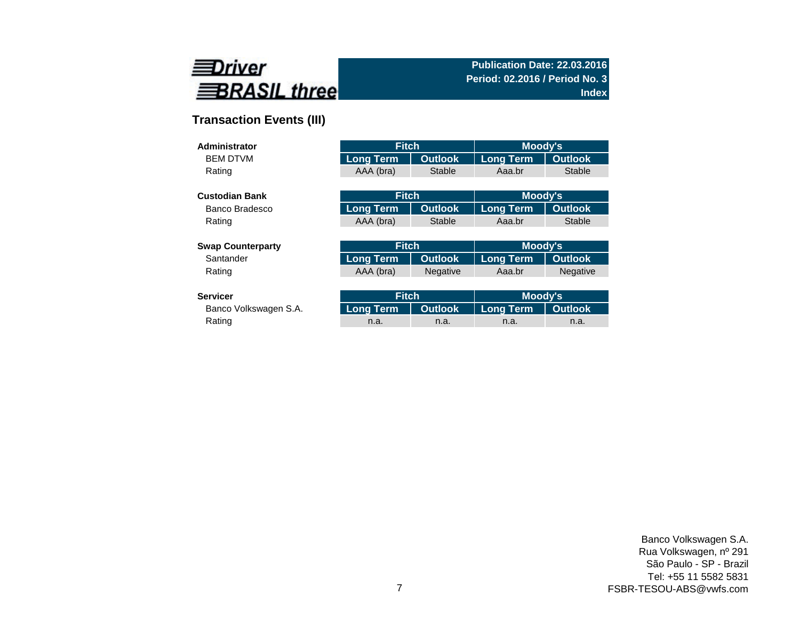

# **Transaction Events (III)**

| Administrator            | <b>Fitch</b>     |                 | <b>Moody's</b>   |                 |
|--------------------------|------------------|-----------------|------------------|-----------------|
| <b>BEM DTVM</b>          | <b>Long Term</b> | <b>Outlook</b>  | <b>Long Term</b> | <b>Outlook</b>  |
| Rating                   | AAA (bra)        | <b>Stable</b>   | Aaa.br           | <b>Stable</b>   |
|                          |                  |                 |                  |                 |
| <b>Custodian Bank</b>    | <b>Fitch</b>     |                 | Moody's          |                 |
| Banco Bradesco           | <b>Long Term</b> | <b>Outlook</b>  | <b>Long Term</b> | <b>Outlook</b>  |
| Rating                   | AAA (bra)        | Stable          | Aaa.br           | <b>Stable</b>   |
|                          |                  |                 |                  |                 |
| <b>Swap Counterparty</b> | <b>Fitch</b>     |                 | Moody's          |                 |
| Santander                | <b>Long Term</b> | <b>Outlook</b>  | <b>Long Term</b> | <b>Outlook</b>  |
| Rating                   | AAA (bra)        | <b>Negative</b> | Aaa.br           | <b>Negative</b> |
|                          |                  |                 |                  |                 |
| <b>Servicer</b>          | <b>Fitch</b>     |                 | Moody's          |                 |
| Banco Volkswagen S.A.    | <b>Long Term</b> | <b>Outlook</b>  | <b>Long Term</b> | <b>Outlook</b>  |

Rating and the method of the method is a method in the method in the method in the method in a method in a met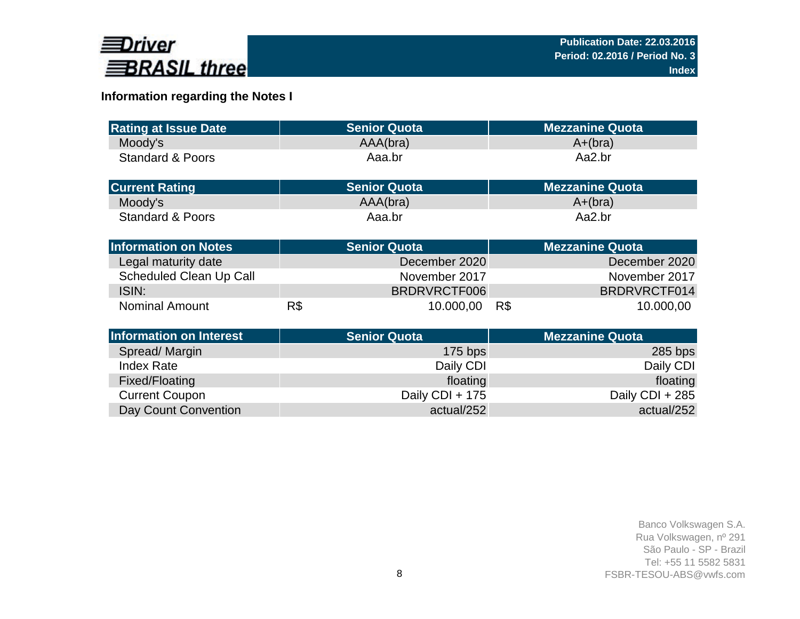

# **Information regarding the Notes I**

| <b>Rating at Issue Date</b>    |     | <b>Senior Quota</b> | <b>Mezzanine Quota</b> |
|--------------------------------|-----|---------------------|------------------------|
|                                |     |                     |                        |
| Moody's                        |     | AAA(bra)            | $A+(bra)$              |
| <b>Standard &amp; Poors</b>    |     | Aaa.br              | Aa2.br                 |
|                                |     |                     |                        |
| <b>Current Rating</b>          |     | <b>Senior Quota</b> | <b>Mezzanine Quota</b> |
| Moody's                        |     | AAA(bra)            | $A+(bra)$              |
| <b>Standard &amp; Poors</b>    |     | Aaa.br              | Aa2.br                 |
|                                |     |                     |                        |
| <b>Information on Notes</b>    |     | <b>Senior Quota</b> | <b>Mezzanine Quota</b> |
| Legal maturity date            |     | December 2020       | December 2020          |
| <b>Scheduled Clean Up Call</b> |     | November 2017       | November 2017          |
| ISIN:                          |     | BRDRVRCTF006        | BRDRVRCTF014           |
| <b>Nominal Amount</b>          | R\$ | 10.000,00           | R\$<br>10.000,00       |
|                                |     |                     |                        |
| <b>Information on Interest</b> |     | <b>Senior Quota</b> | <b>Mezzanine Quota</b> |
| Spread/Margin                  |     | $175$ bps           | $285$ bps              |
| <b>Index Rate</b>              |     | Daily CDI           | Daily CDI              |
| Fixed/Floating                 |     | floating            | floating               |
| <b>Current Coupon</b>          |     | Daily CDI + 175     | Daily CDI + 285        |
| Day Count Convention           |     | actual/252          | actual/252             |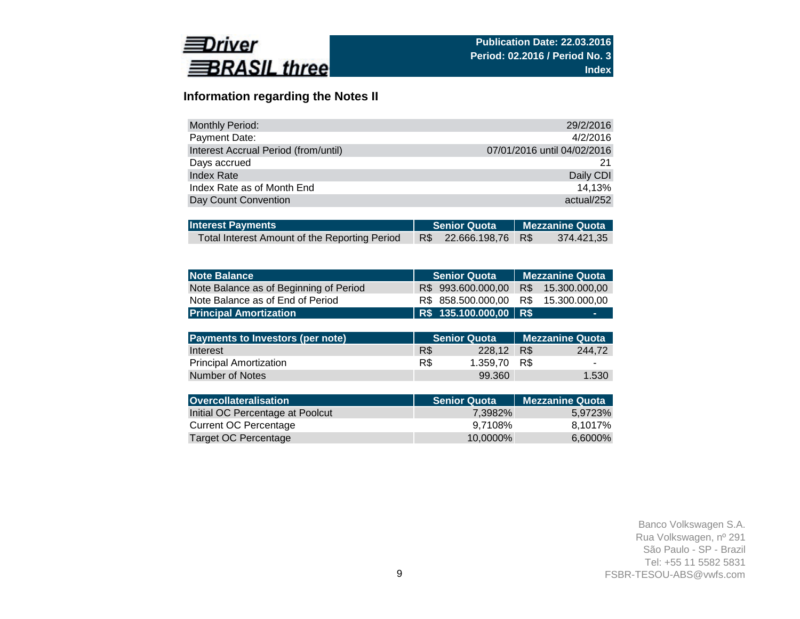

# **Information regarding the Notes II**

| <b>Monthly Period:</b>               | 29/2/2016                   |
|--------------------------------------|-----------------------------|
| Payment Date:                        | 4/2/2016                    |
| Interest Accrual Period (from/until) | 07/01/2016 until 04/02/2016 |
| Days accrued                         | 21                          |
| <b>Index Rate</b>                    | Daily CDI                   |
| Index Rate as of Month End           | 14.13%                      |
| Day Count Convention                 | actual/252                  |

| <b>Interest Payments</b>                      |  | Senior Quota Mezzanine Quota |  |            |  |
|-----------------------------------------------|--|------------------------------|--|------------|--|
| Total Interest Amount of the Reporting Period |  | R\$ 22.666.198,76 R\$        |  | 374.421,35 |  |

| <b>Note Balance</b>                     | <b>Senior Quota</b>      | <b>Mezzanine Quota</b> |
|-----------------------------------------|--------------------------|------------------------|
| Note Balance as of Beginning of Period  | 993.600.000,00<br>R\$    | 15.300.000,00<br>R\$   |
| Note Balance as of End of Period        | 858.500.000,00<br>R\$    | 15.300.000,00<br>R\$   |
| <b>Principal Amortization</b>           | R\$ 135.100.000,00   R\$ |                        |
|                                         |                          |                        |
| <b>Payments to Investors (per note)</b> | <b>Senior Quota</b>      | <b>Mezzanine Quota</b> |
| Interest                                | R\$<br>228,12            | R\$<br>244,72          |
| <b>Principal Amortization</b>           | R\$<br>1.359,70          | R\$                    |
| Number of Notes                         | 99.360                   | 1.530                  |
|                                         |                          |                        |
| <b>Overcollateralisation</b>            | <b>Senior Quota</b>      | <b>Mezzanine Quota</b> |
| Initial OC Percentage at Poolcut        | 7,3982%                  | 5,9723%                |
| <b>Current OC Percentage</b>            | 9,7108%                  | 8,1017%                |
| Target OC Percentage                    | 10,0000%                 | 6,6000%                |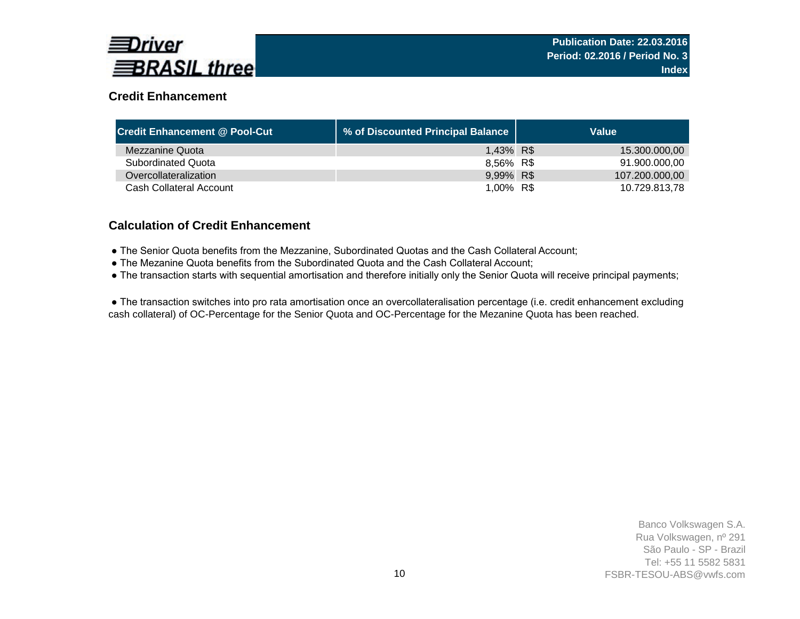

# **Credit Enhancement**

| <b>Credit Enhancement @ Pool-Cut</b> | % of Discounted Principal Balance | Value          |
|--------------------------------------|-----------------------------------|----------------|
| Mezzanine Quota                      | 1,43% R\$                         | 15.300.000,00  |
| <b>Subordinated Quota</b>            | 8,56% R\$                         | 91.900.000.00  |
| Overcollateralization                | 9,99% R\$                         | 107.200.000,00 |
| Cash Collateral Account              | 1,00% R\$                         | 10.729.813.78  |

### **Calculation of Credit Enhancement**

- The Senior Quota benefits from the Mezzanine, Subordinated Quotas and the Cash Collateral Account;
- The Mezanine Quota benefits from the Subordinated Quota and the Cash Collateral Account;
- The transaction starts with sequential amortisation and therefore initially only the Senior Quota will receive principal payments;

 ● The transaction switches into pro rata amortisation once an overcollateralisation percentage (i.e. credit enhancement excluding cash collateral) of OC-Percentage for the Senior Quota and OC-Percentage for the Mezanine Quota has been reached.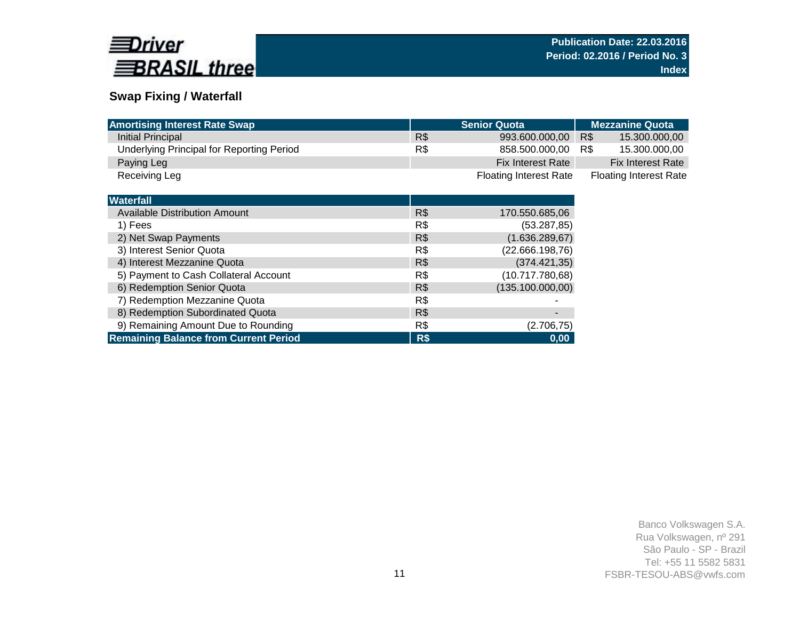

# **Swap Fixing / Waterfall**

| <b>Amortising Interest Rate Swap</b>             |     | <b>Senior Quota</b>           | <b>Mezzanine Quota</b>        |
|--------------------------------------------------|-----|-------------------------------|-------------------------------|
| Initial Principal                                | R\$ | 993.600.000,00                | R\$<br>15.300.000,00          |
| <b>Underlying Principal for Reporting Period</b> | R\$ | 858.500.000,00                | 15.300.000,00<br>R\$          |
| Paying Leg                                       |     | <b>Fix Interest Rate</b>      | <b>Fix Interest Rate</b>      |
| Receiving Leg                                    |     | <b>Floating Interest Rate</b> | <b>Floating Interest Rate</b> |
|                                                  |     |                               |                               |
| <b>Waterfall</b>                                 |     |                               |                               |
| Available Distribution Amount                    | R\$ | 170.550.685,06                |                               |
| 1) Fees                                          | R\$ | (53.287, 85)                  |                               |
| 2) Net Swap Payments                             | R\$ | (1.636.289, 67)               |                               |
| 3) Interest Senior Quota                         | R\$ | (22.666.198,76)               |                               |
| 4) Interest Mezzanine Quota                      | R\$ | (374.421,35)                  |                               |
| 5) Payment to Cash Collateral Account            | R\$ | (10.717.780,68)               |                               |
| 6) Redemption Senior Quota                       | R\$ | (135.100.000,00)              |                               |
| 7) Redemption Mezzanine Quota                    | R\$ |                               |                               |
| 8) Redemption Subordinated Quota                 | R\$ | -                             |                               |
| 9) Remaining Amount Due to Rounding              | R\$ | (2.706, 75)                   |                               |
| <b>Remaining Balance from Current Period</b>     | R\$ | 0,00                          |                               |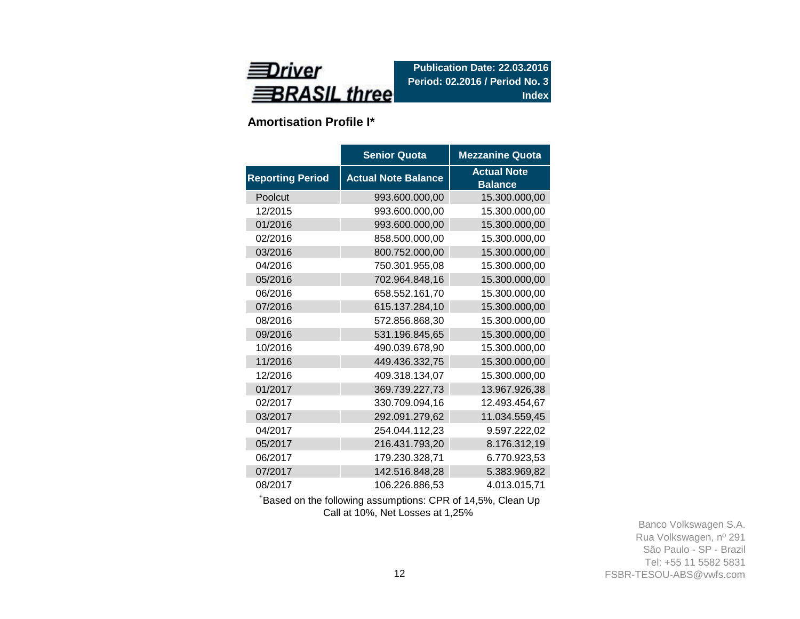

**Amortisation Profile I\***

|                         | <b>Senior Quota</b>        | <b>Mezzanine Quota</b>               |
|-------------------------|----------------------------|--------------------------------------|
| <b>Reporting Period</b> | <b>Actual Note Balance</b> | <b>Actual Note</b><br><b>Balance</b> |
| Poolcut                 | 993.600.000,00             | 15.300.000,00                        |
| 12/2015                 | 993.600.000,00             | 15.300.000,00                        |
| 01/2016                 | 993.600.000,00             | 15.300.000,00                        |
| 02/2016                 | 858.500.000,00             | 15.300.000,00                        |
| 03/2016                 | 800.752.000,00             | 15.300.000,00                        |
| 04/2016                 | 750.301.955,08             | 15.300.000,00                        |
| 05/2016                 | 702.964.848,16             | 15.300.000,00                        |
| 06/2016                 | 658.552.161,70             | 15.300.000,00                        |
| 07/2016                 | 615.137.284,10             | 15.300.000,00                        |
| 08/2016                 | 572.856.868,30             | 15.300.000,00                        |
| 09/2016                 | 531.196.845,65             | 15.300.000,00                        |
| 10/2016                 | 490.039.678,90             | 15.300.000,00                        |
| 11/2016                 | 449.436.332,75             | 15.300.000,00                        |
| 12/2016                 | 409.318.134,07             | 15.300.000,00                        |
| 01/2017                 | 369.739.227,73             | 13.967.926,38                        |
| 02/2017                 | 330.709.094,16             | 12.493.454,67                        |
| 03/2017                 | 292.091.279,62             | 11.034.559,45                        |
| 04/2017                 | 254.044.112,23             | 9.597.222,02                         |
| 05/2017                 | 216.431.793,20             | 8.176.312,19                         |
| 06/2017                 | 179.230.328,71             | 6.770.923,53                         |
| 07/2017                 | 142.516.848,28             | 5.383.969,82                         |
| 08/2017                 | 106.226.886,53             | 4.013.015,71                         |

<sup>+</sup>Based on the following assumptions: CPR of 14,5%, Clean Up Call at 10%, Net Losses at 1,25%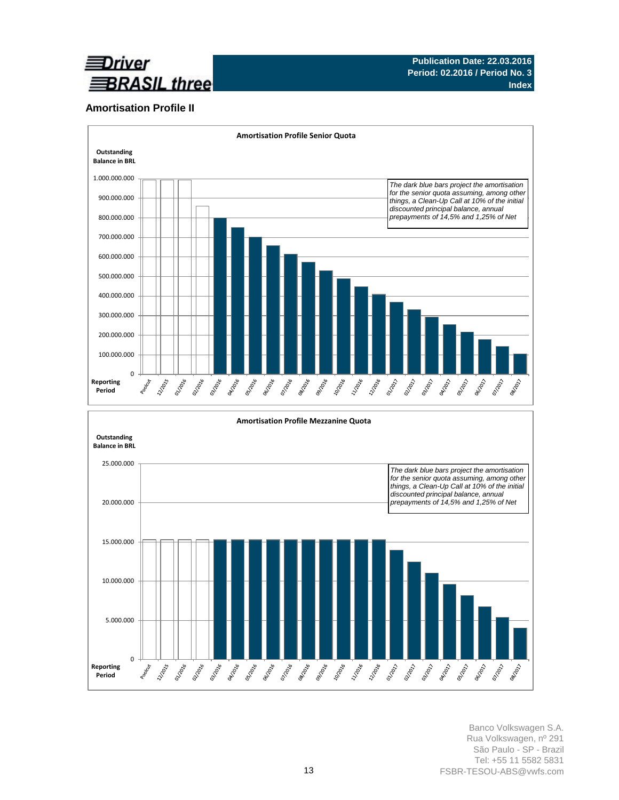

### **Amortisation Profile II**



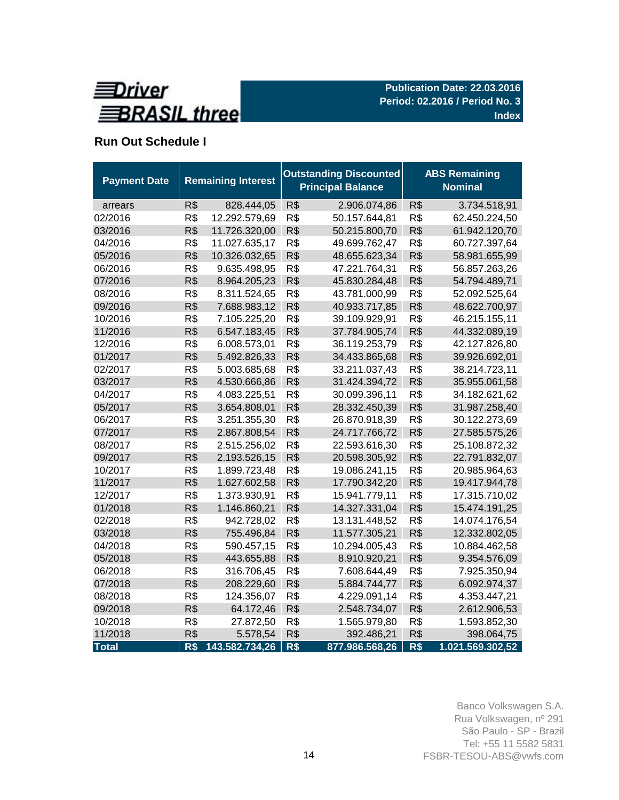

# **Run Out Schedule I**

| <b>Payment Date</b> |     | <b>Remaining Interest</b> |     | <b>Outstanding Discounted</b><br><b>Principal Balance</b> | <b>ABS Remaining</b><br><b>Nominal</b> |                  |  |  |  |
|---------------------|-----|---------------------------|-----|-----------------------------------------------------------|----------------------------------------|------------------|--|--|--|
| arrears             | R\$ | 828.444,05                | R\$ | 2.906.074,86                                              | R\$                                    | 3.734.518,91     |  |  |  |
| 02/2016             | R\$ | 12.292.579,69             | R\$ | 50.157.644,81                                             | R\$                                    | 62.450.224,50    |  |  |  |
| 03/2016             | R\$ | 11.726.320,00             | R\$ | 50.215.800,70                                             | R\$                                    | 61.942.120,70    |  |  |  |
| 04/2016             | R\$ | 11.027.635,17             | R\$ | 49.699.762,47                                             | R\$                                    | 60.727.397,64    |  |  |  |
| 05/2016             | R\$ | 10.326.032,65             | R\$ | 48.655.623,34                                             | R\$                                    | 58.981.655,99    |  |  |  |
| 06/2016             | R\$ | 9.635.498,95              | R\$ | 47.221.764,31                                             | R\$                                    | 56.857.263,26    |  |  |  |
| 07/2016             | R\$ | 8.964.205,23              | R\$ | 45.830.284,48                                             | R\$                                    | 54.794.489,71    |  |  |  |
| 08/2016             | R\$ | 8.311.524,65              | R\$ | 43.781.000,99                                             | R\$                                    | 52.092.525,64    |  |  |  |
| 09/2016             | R\$ | 7.688.983,12              | R\$ | 40.933.717,85                                             | R\$                                    | 48.622.700,97    |  |  |  |
| 10/2016             | R\$ | 7.105.225,20              | R\$ | 39.109.929,91                                             | R\$                                    | 46.215.155,11    |  |  |  |
| 11/2016             | R\$ | 6.547.183,45              | R\$ | 37.784.905,74                                             | R\$                                    | 44.332.089,19    |  |  |  |
| 12/2016             | R\$ | 6.008.573,01              | R\$ | 36.119.253,79                                             | R\$                                    | 42.127.826,80    |  |  |  |
| 01/2017             | R\$ | 5.492.826,33              | R\$ | 34.433.865,68                                             | R\$                                    | 39.926.692,01    |  |  |  |
| 02/2017             | R\$ | 5.003.685,68              | R\$ | 33.211.037,43                                             | R\$                                    | 38.214.723,11    |  |  |  |
| 03/2017             | R\$ | 4.530.666,86              | R\$ | 31.424.394,72                                             | R\$                                    | 35.955.061,58    |  |  |  |
| 04/2017             | R\$ | 4.083.225,51              | R\$ | 30.099.396,11                                             | R\$                                    | 34.182.621,62    |  |  |  |
| 05/2017             | R\$ | 3.654.808,01              | R\$ | 28.332.450,39                                             | R\$                                    | 31.987.258,40    |  |  |  |
| 06/2017             | R\$ | 3.251.355,30              | R\$ | 26.870.918,39                                             | R\$                                    | 30.122.273,69    |  |  |  |
| 07/2017             | R\$ | 2.867.808,54              | R\$ | 24.717.766,72                                             | R\$                                    | 27.585.575,26    |  |  |  |
| 08/2017             | R\$ | 2.515.256,02              | R\$ | 22.593.616,30                                             | R\$                                    | 25.108.872,32    |  |  |  |
| 09/2017             | R\$ | 2.193.526,15              | R\$ | 20.598.305,92                                             | R\$                                    | 22.791.832,07    |  |  |  |
| 10/2017             | R\$ | 1.899.723,48              | R\$ | 19.086.241,15                                             | R\$                                    | 20.985.964,63    |  |  |  |
| 11/2017             | R\$ | 1.627.602,58              | R\$ | 17.790.342,20                                             | R\$                                    | 19.417.944,78    |  |  |  |
| 12/2017             | R\$ | 1.373.930,91              | R\$ | 15.941.779,11                                             | R\$                                    | 17.315.710,02    |  |  |  |
| 01/2018             | R\$ | 1.146.860,21              | R\$ | 14.327.331,04                                             | R\$                                    | 15.474.191,25    |  |  |  |
| 02/2018             | R\$ | 942.728,02                | R\$ | 13.131.448,52                                             | R\$                                    | 14.074.176,54    |  |  |  |
| 03/2018             | R\$ | 755.496,84                | R\$ | 11.577.305,21                                             | R\$                                    | 12.332.802,05    |  |  |  |
| 04/2018             | R\$ | 590.457,15                | R\$ | 10.294.005,43                                             | R\$                                    | 10.884.462,58    |  |  |  |
| 05/2018             | R\$ | 443.655,88                | R\$ | 8.910.920,21                                              | R\$                                    | 9.354.576,09     |  |  |  |
| 06/2018             | R\$ | 316.706,45                | R\$ | 7.608.644,49                                              | R\$                                    | 7.925.350,94     |  |  |  |
| 07/2018             | R\$ | 208.229,60                | R\$ | 5.884.744,77                                              | R\$                                    | 6.092.974,37     |  |  |  |
| 08/2018             | R\$ | 124.356,07                | R\$ | 4.229.091,14                                              | R\$                                    | 4.353.447,21     |  |  |  |
| 09/2018             | R\$ | 64.172,46                 | R\$ | 2.548.734,07                                              | R\$                                    | 2.612.906,53     |  |  |  |
| 10/2018             | R\$ | 27.872,50                 | R\$ | 1.565.979,80                                              | R\$                                    | 1.593.852,30     |  |  |  |
| 11/2018             | R\$ | 5.578,54                  | R\$ | 392.486,21                                                | R\$                                    | 398.064,75       |  |  |  |
| <b>Total</b>        | R\$ | 143.582.734,26            | R\$ | 877.986.568,26                                            | R\$                                    | 1.021.569.302,52 |  |  |  |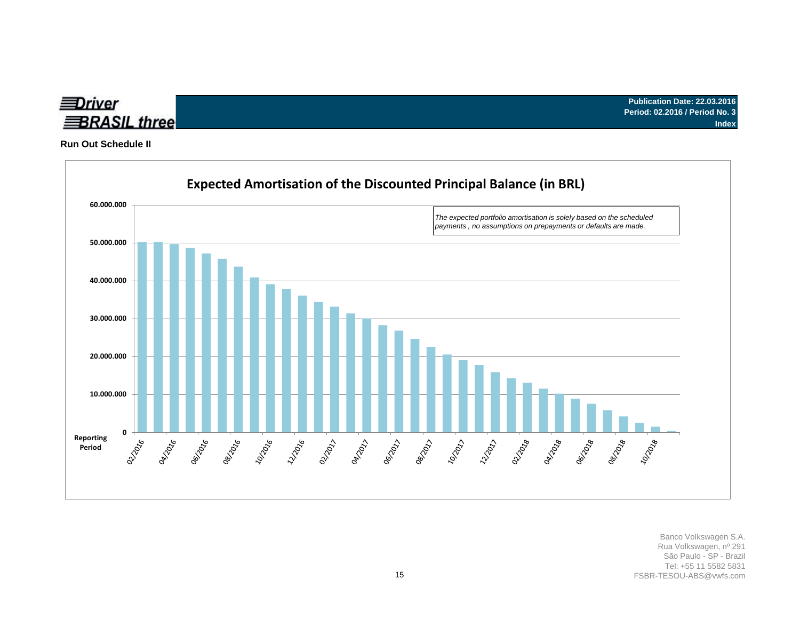

**Run Out Schedule II**

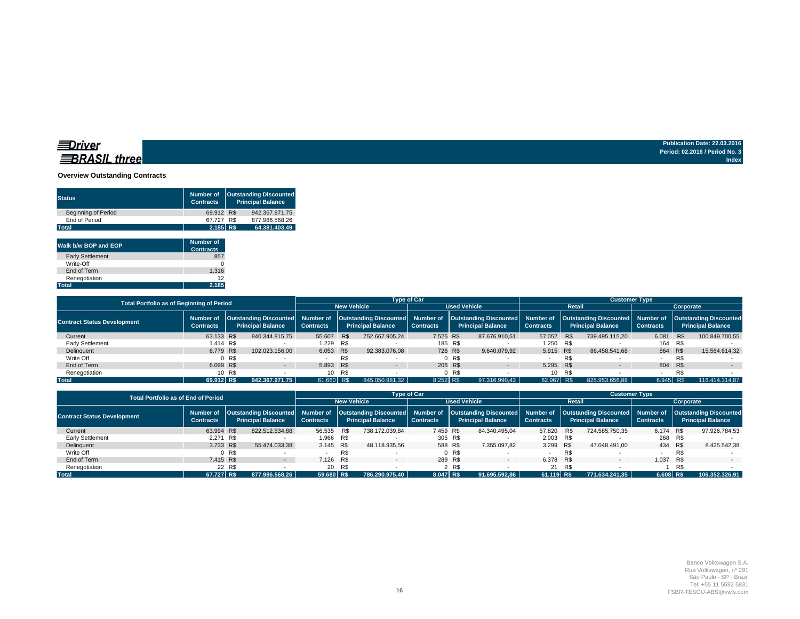#### **Overview Outstanding Contracts**

| <b>Status</b>              | Number of<br><b>Contracts</b> | <b>Outstanding Discounted</b><br><b>Principal Balance</b> |
|----------------------------|-------------------------------|-----------------------------------------------------------|
| <b>Beginning of Period</b> | 69.912 R\$                    | 942.367.971.75                                            |
| End of Period              | 67.727 R\$                    | 877.986.568.26                                            |
| <b>Total</b>               | 2.185 R\$                     | 64.381.403.49                                             |

| Walk b/w BOP and EOP    | Number of<br><b>Contracts</b> |
|-------------------------|-------------------------------|
| <b>Early Settlement</b> | 857                           |
| Write-Off               |                               |
| End of Term             | 1.316                         |
| Renegotiation           | 12                            |
| <b>Total</b>            | 2.185                         |

| Total Portfolio as of Beginning of Period |                                                                                               |       |                    | <b>Type of Car</b>       |                     |                  | <b>Customer Type</b>                                                                                                      |           |                  |                          |     |                               |                                                           |         |                |
|-------------------------------------------|-----------------------------------------------------------------------------------------------|-------|--------------------|--------------------------|---------------------|------------------|---------------------------------------------------------------------------------------------------------------------------|-----------|------------------|--------------------------|-----|-------------------------------|-----------------------------------------------------------|---------|----------------|
|                                           |                                                                                               |       | <b>New Vehicle</b> |                          | <b>Used Vehicle</b> |                  | <b>Retail</b>                                                                                                             | Corporate |                  |                          |     |                               |                                                           |         |                |
| <b>Contract Status Development</b>        | Outstanding Discounted Number of<br>Number of<br><b>Principal Balance</b><br><b>Contracts</b> |       | <b>Contracts</b>   | <b>Principal Balance</b> |                     | <b>Contracts</b> | Outstanding Discounted  Number of  Outstanding Discounted  Number of  Outstanding Discounted <br><b>Principal Balance</b> |           | <b>Contracts</b> | <b>Principal Balance</b> |     | Number of<br><b>Contracts</b> | <b>Outstanding Discounted</b><br><b>Principal Balance</b> |         |                |
| Current                                   | 63.133 R\$                                                                                    |       | 840.344.815.75     | 55,607 R\$               |                     | 752.667.905.24   | 7.526 R\$                                                                                                                 |           | 87.676.910.51    | 57.052 R\$               |     | 739.495.115.20                | 6.081                                                     | R\$     | 100.849.700.55 |
| Early Settlement                          | 1.414 R\$                                                                                     |       |                    | 1.229 R\$                |                     |                  |                                                                                                                           | 185 R\$   |                  | 1.250 R\$                |     |                               | 164 R\$                                                   |         |                |
| Delinguent                                | 6.779 R\$                                                                                     |       | 102.023.156.00     | 6.053 R\$                |                     | 92.383.076.08    |                                                                                                                           | 726 R\$   | 9.640.079.92     | 5.915 R\$                |     | 86.458.541.68                 | 864 R\$                                                   |         | 15.564.614.32  |
| Write Off                                 |                                                                                               | 0 R\$ |                    |                          | R\$                 |                  |                                                                                                                           | 0 R\$     |                  |                          | R\$ |                               |                                                           | R\$     |                |
| End of Term                               | 6.099 R\$                                                                                     |       | $-$                | 5.893 R\$                |                     |                  |                                                                                                                           | 206 R\$   | $\sim$           | 5.295 R\$                |     | $\overline{\phantom{0}}$      |                                                           | 804 R\$ |                |
| Renegotiation                             | 10 R\$                                                                                        |       | 10                 | R\$                      |                     |                  | R\$                                                                                                                       |           | 10 <sup>1</sup>  | R\$                      |     |                               | R\$                                                       |         |                |
| <b>Total</b>                              | 69.912 R\$                                                                                    |       | 942.367.971.75     | 61.660 R\$               |                     | 845.050.981.32   | 8.252 R\$                                                                                                                 |           | 97.316.990.43    | 62.967 R\$               |     | 825.953.656.88                | 6.945 R\$                                                 |         | 116.414.314.87 |

| <b>Total Portfolio as of End of Period</b> |                                                                                                                                                                                                                                |                    |                  |                          | <b>Type of Car</b> |                  |                          | <b>Customer Type</b> |                  |                          |     |                  |             |                          |                |
|--------------------------------------------|--------------------------------------------------------------------------------------------------------------------------------------------------------------------------------------------------------------------------------|--------------------|------------------|--------------------------|--------------------|------------------|--------------------------|----------------------|------------------|--------------------------|-----|------------------|-------------|--------------------------|----------------|
|                                            |                                                                                                                                                                                                                                | <b>New Vehicle</b> |                  | <b>Used Vehicle</b>      |                    | Retail           | Corporate                |                      |                  |                          |     |                  |             |                          |                |
| <b>Contract Status Development</b>         | Number of  Outstanding Discounted  Number of  Outstanding Discounted  Number of  Outstanding Discounted  Number of  Outstanding Discounted  Number of  Outstanding Discounted <br><b>Principal Balance</b><br><b>Contracts</b> |                    | <b>Contracts</b> | <b>Principal Balance</b> |                    | <b>Contracts</b> | <b>Principal Balance</b> |                      | <b>Contracts</b> | <b>Principal Balance</b> |     | <b>Contracts</b> |             | <b>Principal Balance</b> |                |
| Current                                    | 63.994 R\$                                                                                                                                                                                                                     |                    | 822.512.534.88   | 56.535 R\$               |                    | 738.172.039.84   | 7.459 R\$                |                      | 84.340.495.04    | 57.820 R\$               |     | 724.585.750.35   | 6.174 R\$   |                          | 97.926.784.53  |
| Early Settlement                           | 2.271 R\$                                                                                                                                                                                                                      |                    |                  | 1.966 R\$                |                    |                  | 305 R\$                  |                      |                  | 2.003 R\$                |     |                  | 268 R\$     |                          |                |
| Delinguent                                 | 3.733 R\$                                                                                                                                                                                                                      |                    | 55.474.033.38    | 3.145 R\$                |                    | 48.118.935.56    | 588 R\$                  |                      | 7.355.097.82     | 3.299 R\$                |     | 47.048.491.00    | 434 R\$     |                          | 8.425.542,38   |
| Write Off                                  |                                                                                                                                                                                                                                | 0 R\$              |                  |                          | R\$                |                  |                          | 0 R\$                |                  |                          | R\$ |                  |             | R\$                      |                |
| End of Term                                | 7.415 R\$                                                                                                                                                                                                                      |                    | $\sim$ 100 $\mu$ | 7.126 R\$                |                    |                  | 289 R\$                  |                      | $\sim$           | 6.378 R\$                |     | $\sim$           | 1.037       | R\$                      | $-$            |
| Renegotiation                              | 22 R\$                                                                                                                                                                                                                         |                    | 20 R\$           |                          | 2 R\$              |                  | 21 R\$                   |                      |                  | R\$                      |     |                  |             |                          |                |
| <b>Total</b>                               | 67.727 R\$                                                                                                                                                                                                                     |                    | 877.986.568.26   | 59.680 R\$               |                    | 786.290.975.40   | 8.047 R\$                |                      | 91.695.592.86    | 61.119 R\$               |     | 771.634.241.35   | $6.608$ R\$ |                          | 106.352.326.91 |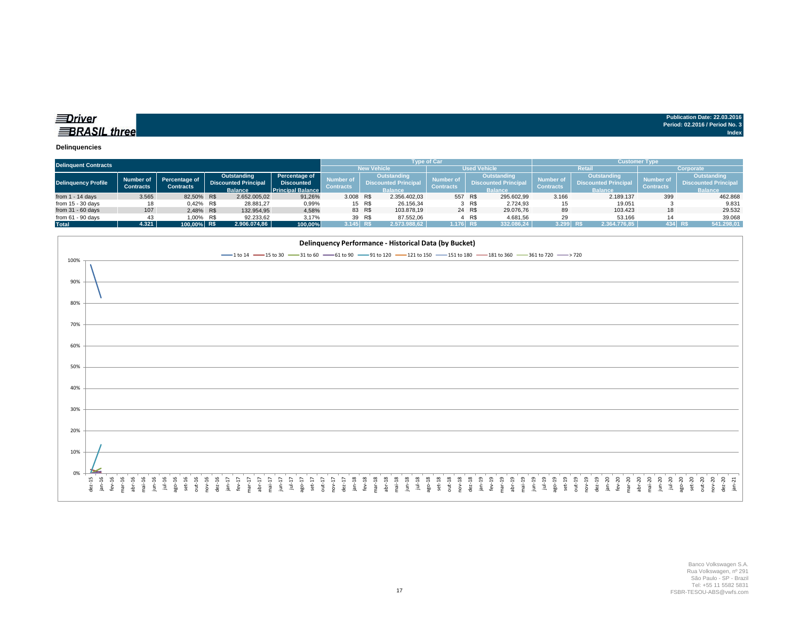| Publication Date: 22.03.2016   |
|--------------------------------|
| Period: 02.2016 / Period No. 3 |
| Index                          |

### *<u>IDriver</u>* **BRASIL** three

#### **Delinquencies**

| <b>Delinquent Contracts</b> |                  |                  |                                                                          |              |                                          |                    |                             |                    | <b>Type of Car</b>                 |                             |                  | <b>Customer Type</b> |                             |                |                      |  |  |
|-----------------------------|------------------|------------------|--------------------------------------------------------------------------|--------------|------------------------------------------|--------------------|-----------------------------|--------------------|------------------------------------|-----------------------------|------------------|----------------------|-----------------------------|----------------|----------------------|--|--|
|                             |                  |                  |                                                                          |              |                                          | <b>New Vehicle</b> |                             |                    | <b>Used Vehicle</b>                |                             | <b>Retai</b>     |                      | Corporate                   |                |                      |  |  |
|                             | Number of        |                  | Outstanding                                                              |              | <b>Percentage of</b>                     |                    |                             | <b>Outstanding</b> | Number of                          |                             | Outstanding      | <b>Number</b> o      | <b>Outstanding</b>          | Number of      | <b>Outstanding</b>   |  |  |
| <b>Delinquency Profile</b>  |                  |                  | <b>Percentage of</b><br><b>Discounted Principal</b><br><b>Discounted</b> |              | Number of<br><b>Discounted Principal</b> |                    | <b>Discounted Principal</b> |                    |                                    | <b>Discounted Principal</b> |                  |                      | <b>Discounted Principal</b> |                |                      |  |  |
|                             | <b>Contracts</b> | <b>Contracts</b> | <b>Balance</b>                                                           |              | <b>Principal Balance</b>                 | <b>Contracts</b>   |                             | <b>Balance</b>     | <b>Contracts</b><br><b>Balance</b> |                             | <b>Contracts</b> | <b>Balance</b>       | <b>Contracts</b>            | <b>Balance</b> |                      |  |  |
| from $1 - 14$ days          | 3.565            | 82,50% R\$       |                                                                          | 2.652.005,02 | 91,26%                                   | 3.008 R\$          |                             | 2.356.402.03       |                                    | 557 R\$                     | 295.602,99       | 3.166                | 2.189.137                   | 399            | 462.868              |  |  |
| from $15 - 30$ days         | 18               | 0.42% R\$        |                                                                          | 28.881,27    | 0,99%                                    |                    | 15 R\$                      | 26.156.34          |                                    | 3 R\$                       | 2.724.93         | 15                   | 19.051                      |                | 9.831                |  |  |
| from $31 - 60$ days         | 107              | 2.48% R\$        |                                                                          | 132.954,95   | 4,58%                                    |                    | 83 R\$                      | 103.878,19         |                                    | 24 R\$                      | 29.076.76        | 89                   | 103.423                     | 18             | 29.532               |  |  |
| from $61 - 90$ days         | 43               | 1.00% R\$        |                                                                          | 92.233.62    | 3.17%                                    |                    | 39 R\$                      | 87.552.06          |                                    | R\$                         | 4.681.56         | 29                   | 53.166                      | 14             | 39.068               |  |  |
| <b>Total</b>                | 4.321            | 100.00% R\$      |                                                                          | 2.906.074,86 | 100,00%                                  | $3.145$ R\$        |                             | 2.573.988.62       | 1.176 R\$                          |                             | 332.086,24       | $3.299$ R\$          | 2.364.776,85                |                | 434 RS<br>541.298,01 |  |  |

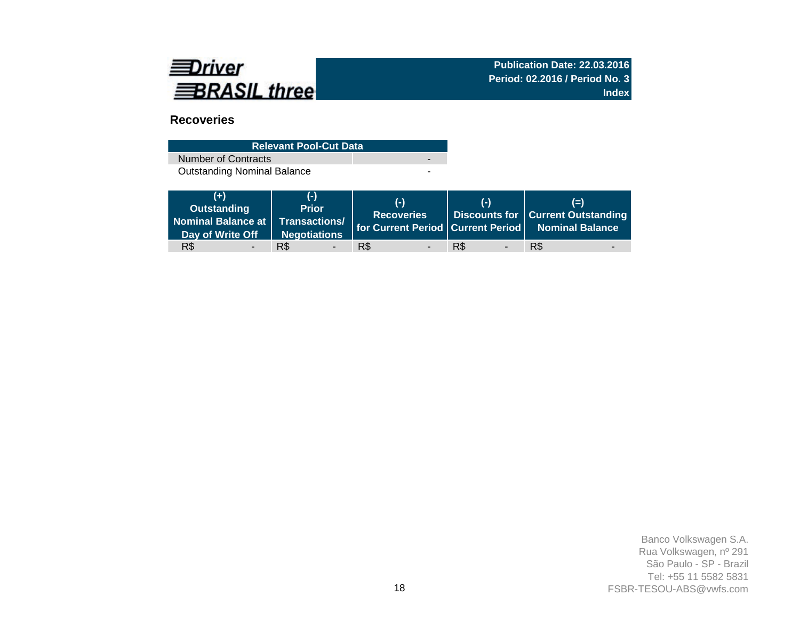

# **Recoveries**

| <b>Relevant Pool-Cut Data</b>      |  |
|------------------------------------|--|
| Number of Contracts                |  |
| <b>Outstanding Nominal Balance</b> |  |

| $(+)$<br>Outstanding<br>Day of Write Off | (-)<br><b>Prior</b><br>Negotiations | $(-)$<br><b>Recoveries</b> | $(-)$                           | $(=)$<br>  Discounts for   Current Outstanding<br>Nominal Balance at Transactions/ for Current Period Current Period Nominal Balance |
|------------------------------------------|-------------------------------------|----------------------------|---------------------------------|--------------------------------------------------------------------------------------------------------------------------------------|
| R\$                                      | R\$                                 | R\$                        | R\$<br>$\overline{\phantom{a}}$ | R\$                                                                                                                                  |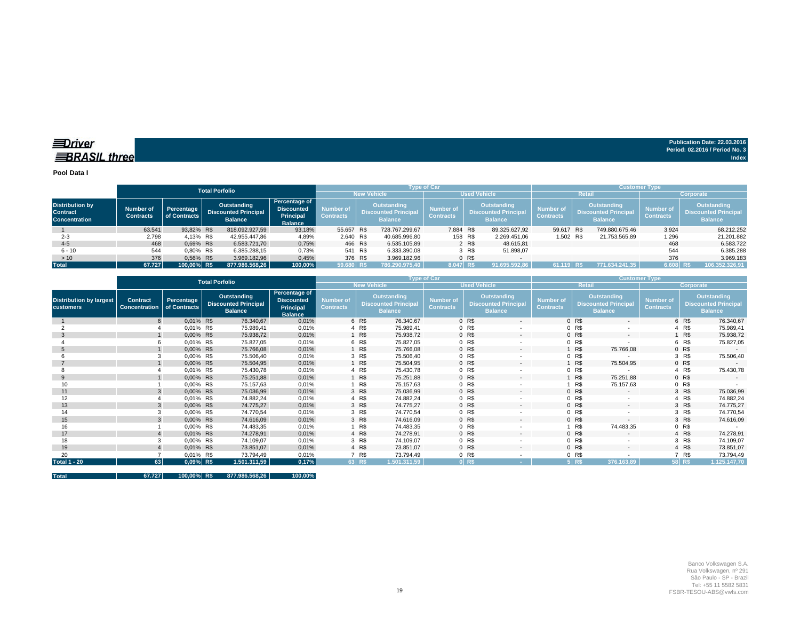**EDriver BRASIL** three

**Publication Date: 22.03.2016 Period: 02.2016 / Period No. 3 Index**

**Pool Data I**

|                                                                   |                                      |                            | <b>Total Porfolio</b> |                                                              |                                                                          |                               |                                                                     | <b>Type of Car</b> |                                      |                                                                     |               | <b>Customer Type</b>                 |           |                                                              |                                      |                                                              |  |  |  |
|-------------------------------------------------------------------|--------------------------------------|----------------------------|-----------------------|--------------------------------------------------------------|--------------------------------------------------------------------------|-------------------------------|---------------------------------------------------------------------|--------------------|--------------------------------------|---------------------------------------------------------------------|---------------|--------------------------------------|-----------|--------------------------------------------------------------|--------------------------------------|--------------------------------------------------------------|--|--|--|
|                                                                   |                                      |                            |                       |                                                              |                                                                          |                               | <b>New Vehicle</b>                                                  |                    | <b>Used Vehicle</b>                  |                                                                     | Retail        |                                      | Corporate |                                                              |                                      |                                                              |  |  |  |
| <b>Distribution by</b><br><b>Contract</b><br><b>Concentration</b> | <b>Number of</b><br><b>Contracts</b> | Percentage<br>of Contracts |                       | Outstanding<br><b>Discounted Principal</b><br><b>Balance</b> | Percentage of<br><b>Discounted</b><br><b>Principal</b><br><b>Balance</b> | Number of<br><b>Contracts</b> | <b>Outstanding</b><br><b>Discounted Principal</b><br><b>Balance</b> |                    | <b>Number of</b><br><b>Contracts</b> | <b>Outstanding</b><br><b>Discounted Principal</b><br><b>Balance</b> |               | <b>Number of</b><br><b>Contracts</b> |           | Outstanding<br><b>Discounted Principal</b><br><b>Balance</b> | <b>Number of</b><br><b>Contracts</b> | Outstanding<br><b>Discounted Principal</b><br><b>Balance</b> |  |  |  |
|                                                                   | 63.541                               | 93.82% R\$                 |                       | 818.092.927.59                                               | 93,18%                                                                   | 55.657 R\$                    |                                                                     | 728.767.299.67     |                                      | 7.884 R\$                                                           | 89.325.627,92 | 59.617 R\$                           |           | 749.880.675.46                                               | 3.924                                | 68.212.252                                                   |  |  |  |
| $2 - 3$                                                           | 2.798                                | 4.13% R\$                  |                       | 42.955.447,86                                                | 4,89%                                                                    | 2.640 R\$                     |                                                                     | 40.685.996,80      |                                      | 158 R\$                                                             | 2.269.451,06  |                                      | 1.502 R\$ | 21.753.565,89                                                | 1.296                                | 21.201.882                                                   |  |  |  |
| $4 - 5$                                                           | 468                                  | 0.69% R\$                  |                       | 6.583.721,70                                                 | 0,75%                                                                    | 466 R\$                       |                                                                     | 6.535.105.89       |                                      | 2 R\$                                                               | 48.615.81     |                                      |           |                                                              | 468                                  | 6.583.722                                                    |  |  |  |
| $6 - 10$                                                          | 544                                  | 0.80% R\$                  |                       | 6.385.288,15                                                 | 0,73%                                                                    | 541 R\$                       |                                                                     | 6.333.390,08       |                                      | 3 R\$                                                               | 51.898.07     |                                      |           |                                                              | 544                                  | 6.385.288                                                    |  |  |  |
| >10                                                               | 376                                  | 0.56% R\$                  |                       | 3.969.182.96                                                 | 0,45%                                                                    | 376 R\$                       |                                                                     | 3.969.182.96       |                                      | 0 <sub>R</sub>                                                      |               |                                      |           |                                                              | 376                                  | 3.969.183                                                    |  |  |  |
| <b>Total</b>                                                      | 67.727                               | 100,00% R\$                |                       | 877.986.568,26                                               | 100,00%                                                                  | 59.680 R\$                    |                                                                     | 786.290.975.40     |                                      | 8.047 R\$                                                           | 91.695.592.86 | 61.119 R\$                           |           | 771.634.241.35                                               | 6.608 R\$                            | 106.352.326,91                                               |  |  |  |

|                                                    |                                         |                            | <b>Total Porfolio</b>                                        |                                                                          |                                      |                    | <b>Type of Car</b>                                                  |                                      |                     |                                                              | <b>Customer Type</b>          |                |                                                                     |                                      |        |                                                                     |  |
|----------------------------------------------------|-----------------------------------------|----------------------------|--------------------------------------------------------------|--------------------------------------------------------------------------|--------------------------------------|--------------------|---------------------------------------------------------------------|--------------------------------------|---------------------|--------------------------------------------------------------|-------------------------------|----------------|---------------------------------------------------------------------|--------------------------------------|--------|---------------------------------------------------------------------|--|
|                                                    |                                         |                            |                                                              |                                                                          |                                      | <b>New Vehicle</b> |                                                                     |                                      | <b>Used Vehicle</b> |                                                              | <b>Retail</b>                 |                | Corporate                                                           |                                      |        |                                                                     |  |
| <b>Distribution by largest</b><br><b>customers</b> | <b>Contract</b><br><b>Concentration</b> | Percentage<br>of Contracts | Outstanding<br><b>Discounted Principal</b><br><b>Balance</b> | Percentage of<br><b>Discounted</b><br><b>Principal</b><br><b>Balance</b> | <b>Number of</b><br><b>Contracts</b> |                    | <b>Outstanding</b><br><b>Discounted Principal</b><br><b>Balance</b> | <b>Number of</b><br><b>Contracts</b> |                     | Outstanding<br><b>Discounted Principal</b><br><b>Balance</b> | Number of<br><b>Contracts</b> |                | <b>Outstanding</b><br><b>Discounted Principal</b><br><b>Balance</b> | <b>Number of</b><br><b>Contracts</b> |        | <b>Outstanding</b><br><b>Discounted Principal</b><br><b>Balance</b> |  |
|                                                    | 6                                       | 0,01% R\$                  | 76.340,67                                                    | 0,01%                                                                    |                                      | 6 R\$              | 76.340,67                                                           |                                      | 0 <sub>R</sub>      | ٠                                                            |                               | 0 R\$          |                                                                     |                                      | 6 R\$  | 76.340,67                                                           |  |
|                                                    |                                         | 0,01% R\$                  | 75.989,41                                                    | 0,01%                                                                    |                                      | 4 R\$              | 75.989,41                                                           |                                      | 0 R\$               |                                                              |                               | 0 R\$          |                                                                     |                                      | 4 R\$  | 75.989,41                                                           |  |
| 3                                                  |                                         | 0,00% R\$                  | 75.938,72                                                    | 0,01%                                                                    |                                      | 1 R\$              | 75.938,72                                                           |                                      | 0 R\$               | $\sim$                                                       |                               | 0 R\$          | $\sim$                                                              |                                      | 1 R\$  | 75.938,72                                                           |  |
|                                                    |                                         | 0,01% R\$                  | 75.827,05                                                    | 0,01%                                                                    |                                      | 6 R\$              | 75.827,05                                                           |                                      | 0 R\$               | $\overline{\phantom{a}}$                                     |                               | 0 R\$          |                                                                     |                                      | 6 R\$  | 75.827,05                                                           |  |
|                                                    |                                         | 0,00% R\$                  | 75.766,08                                                    | 0,01%                                                                    |                                      | 1 R\$              | 75.766,08                                                           |                                      | 0 R\$               | $\overline{\phantom{a}}$                                     |                               | R\$            | 75.766,08                                                           |                                      | 0 R\$  |                                                                     |  |
|                                                    |                                         | 0,00% R\$                  | 75.506,40                                                    | 0,01%                                                                    |                                      | 3 R\$              | 75.506,40                                                           |                                      | 0 R\$               |                                                              |                               | 0 R\$          |                                                                     |                                      | 3 R\$  | 75.506,40                                                           |  |
|                                                    |                                         | 0,00% R\$                  | 75.504,95                                                    | 0,01%                                                                    |                                      | 1 R\$              | 75.504,95                                                           |                                      | 0 R\$               | $\sim$                                                       |                               | R\$            | 75.504,95                                                           |                                      | 0 R\$  | $\sim$                                                              |  |
|                                                    |                                         | 0,01% R\$                  | 75.430,78                                                    | 0,01%                                                                    |                                      | 4 R\$              | 75.430,78                                                           |                                      | 0 R\$               |                                                              |                               | 0 R\$          |                                                                     |                                      | 4 R\$  | 75.430,78                                                           |  |
| 9                                                  |                                         | 0,00% R\$                  | 75.251,88                                                    | 0,01%                                                                    |                                      | 1 R\$              | 75.251,88                                                           |                                      | 0 R\$               | $\sim$                                                       |                               | R\$            | 75.251,88                                                           |                                      | 0 R\$  | $\sim$                                                              |  |
| 10                                                 |                                         | 0,00% R\$                  | 75.157,63                                                    | 0,01%                                                                    |                                      | 1 R\$              | 75.157,63                                                           |                                      | 0 R\$               |                                                              |                               | R\$            | 75.157,63                                                           |                                      | 0 R\$  |                                                                     |  |
| 11                                                 |                                         | 0,00% R\$                  | 75.036,99                                                    | 0,01%                                                                    |                                      | 3 R\$              | 75.036,99                                                           |                                      | 0 R\$               | $\sim$                                                       |                               | 0 R\$          | $\sim$                                                              |                                      | 3 R\$  | 75.036,99                                                           |  |
| 12                                                 |                                         | 0,01% R\$                  | 74.882,24                                                    | 0,01%                                                                    |                                      | 4 R\$              | 74.882,24                                                           |                                      | 0 R\$               | $\overline{\phantom{a}}$                                     |                               | 0 R\$          |                                                                     |                                      | 4 R\$  | 74.882,24                                                           |  |
| 13                                                 |                                         | 0,00% R\$                  | 74.775,27                                                    | 0,01%                                                                    |                                      | 3 R\$              | 74.775,27                                                           |                                      | 0 R\$               | $\sim$                                                       |                               | 0 R\$          | $\sim$                                                              |                                      | 3 R\$  | 74.775,27                                                           |  |
| 14                                                 |                                         | 0,00% R\$                  | 74.770,54                                                    | 0,01%                                                                    |                                      | 3 R\$              | 74.770,54                                                           |                                      | 0 R\$               |                                                              |                               | 0 R\$          |                                                                     |                                      | 3 R\$  | 74.770,54                                                           |  |
| 15                                                 |                                         | 0,00% R\$                  | 74.616,09                                                    | 0,01%                                                                    |                                      | 3 R\$              | 74.616.09                                                           |                                      | 0 R\$               | $\sim$                                                       |                               | 0 R\$          | $\sim$                                                              |                                      | 3 R\$  | 74.616,09                                                           |  |
| 16                                                 |                                         | 0,00% R\$                  | 74.483,35                                                    | 0,01%                                                                    |                                      | 1 R\$              | 74.483,35                                                           |                                      | 0 R\$               | $\overline{\phantom{a}}$                                     |                               | R\$            | 74.483,35                                                           |                                      | 0 R\$  |                                                                     |  |
| 17                                                 |                                         | 0,01% R\$                  | 74.278,91                                                    | 0,01%                                                                    |                                      | 4 R\$              | 74.278,91                                                           |                                      | 0 R\$               | $\sim$                                                       |                               | 0 R\$          | $\sim$                                                              |                                      | 4 R\$  | 74.278,91                                                           |  |
| 18                                                 |                                         | 0,00% R\$                  | 74.109,07                                                    | 0,01%                                                                    |                                      | 3 R\$              | 74.109,07                                                           |                                      | 0 R\$               | $\overline{\phantom{a}}$                                     |                               | 0 R\$          |                                                                     |                                      | 3 R\$  | 74.109,07                                                           |  |
| 19                                                 |                                         | 0,01% R\$                  | 73.851,07                                                    | 0,01%                                                                    |                                      | 4 R\$              | 73.851,07                                                           |                                      | 0 R\$               | $\sim$                                                       |                               | 0 <sub>R</sub> | $\sim$                                                              |                                      | 4 R\$  | 73.851,07                                                           |  |
| 20                                                 |                                         | 0,01% R\$                  | 73.794,49                                                    | 0,01%                                                                    |                                      | 7 R\$              | 73.794,49                                                           |                                      | 0 R\$               |                                                              |                               | 0 R\$          |                                                                     |                                      | 7 R\$  | 73.794,49                                                           |  |
| <b>Total 1 - 20</b>                                | 63 <sup>1</sup>                         | $0,09\%$ R\$               | 1.501.311,59                                                 | 0,17%                                                                    |                                      | 63 R\$             | 1.501.311,59                                                        |                                      | 0 RS                |                                                              |                               | $5$ R\$        | 376.163,89                                                          |                                      | 58 R\$ | 1.125.147,70                                                        |  |

| <b>Total</b> | 67.727 | 100,00% R\$ |  | 877.986.568,26 | 100,00% |
|--------------|--------|-------------|--|----------------|---------|
|--------------|--------|-------------|--|----------------|---------|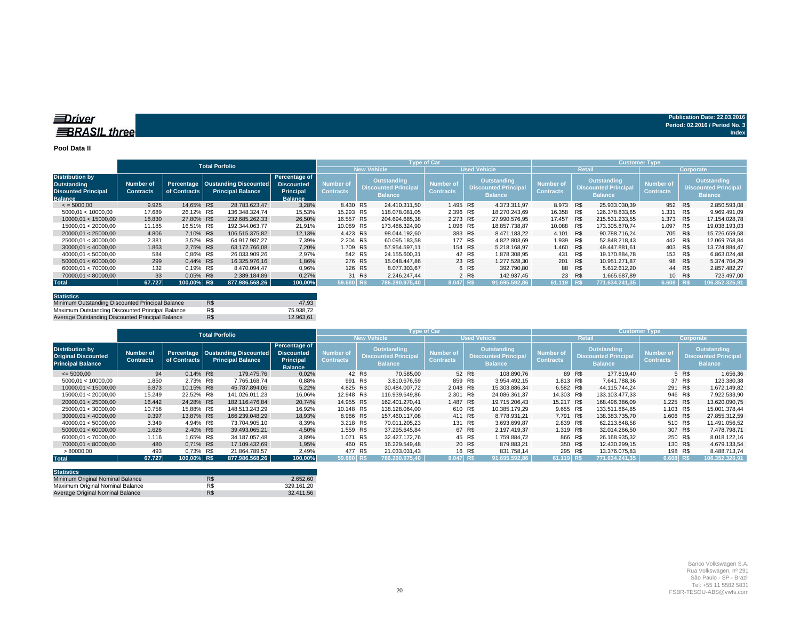#### **Pool Data II**

|                                                                                       |                               |              | <b>Total Porfolio</b>                                        |                                                                          |                                      |        |                                                                                                                                                                                                                                                                                                   | <b>Type of Car</b> |                     |               | <b>Customer Type</b> |     |                                      |           |                                                                     |                |  |  |
|---------------------------------------------------------------------------------------|-------------------------------|--------------|--------------------------------------------------------------|--------------------------------------------------------------------------|--------------------------------------|--------|---------------------------------------------------------------------------------------------------------------------------------------------------------------------------------------------------------------------------------------------------------------------------------------------------|--------------------|---------------------|---------------|----------------------|-----|--------------------------------------|-----------|---------------------------------------------------------------------|----------------|--|--|
|                                                                                       |                               |              |                                                              |                                                                          |                                      |        | <b>New Vehicle</b>                                                                                                                                                                                                                                                                                |                    | <b>Used Vehicle</b> |               | Retail               |     |                                      | Corporate |                                                                     |                |  |  |
| <b>Distribution by</b><br>Outstanding<br><b>Disounted Principal</b><br><b>Balance</b> | Number of<br><b>Contracts</b> | of Contracts | Percentage Oustanding Discounted<br><b>Principal Balance</b> | Percentage of<br><b>Discounted</b><br><b>Principal</b><br><b>Balance</b> | <b>Number of</b><br><b>Contracts</b> |        | <b>Outstanding</b><br><b>Outstanding</b><br><b>Outstanding</b><br><b>Number of</b><br><b>Number of</b><br><b>Discounted Principal</b><br><b>Discounted Principal</b><br><b>Discounted Principal</b><br><b>Contracts</b><br><b>Contracts</b><br><b>Balance</b><br><b>Balance</b><br><b>Balance</b> |                    |                     |               |                      |     | <b>Number of</b><br><b>Contracts</b> |           | <b>Outstanding</b><br><b>Discounted Principal</b><br><b>Balance</b> |                |  |  |
| $\le$ = 5000.00                                                                       | 9.925                         | 14.65% R\$   | 28.783.623.47                                                | 3,28%                                                                    | 8.430 R\$                            |        | 24.410.311.50                                                                                                                                                                                                                                                                                     | 1.495 R\$          |                     | 4.373.311.97  | 8.973 R\$            |     | 25.933.030.39                        | 952       | R\$                                                                 | 2.850.593,08   |  |  |
| 5000,01 < 10000,00                                                                    | 17.689                        | 26.12% R\$   | 136.348.324.74                                               | 15,53%                                                                   | 15.293 R\$                           |        | 118.078.081.05                                                                                                                                                                                                                                                                                    | 2.396 R\$          |                     | 18.270.243.69 | 16.358               | R\$ | 126.378.833.65                       | 1.331     | R\$                                                                 | 9.969.491,09   |  |  |
| 10000.01 < 15000.00                                                                   | 18.830                        | 27.80% R\$   | 232.685.262.33                                               | 26,50%                                                                   | 16.557 R\$                           |        | 204.694.685.38                                                                                                                                                                                                                                                                                    | 2.273 R\$          |                     | 27.990.576.95 | 17.457               | R\$ | 215.531.233.55                       | 1.373     | R\$                                                                 | 17.154.028.78  |  |  |
| 15000.01 < 20000.00                                                                   | 11.185                        | 16.51% R\$   | 192.344.063.77                                               | 21,91%                                                                   | 10.089 R\$                           |        | 173.486.324.90                                                                                                                                                                                                                                                                                    | 1.096 R\$          |                     | 18.857.738.87 | 10.088 R\$           |     | 173.305.870.74                       | 1.097     | R\$                                                                 | 19.038.193,03  |  |  |
| 20000.01 < 25000.00                                                                   | 4.806                         | 7.10% R\$    | 106.515.375.82                                               | 12,13%                                                                   | 4.423 R\$                            |        | 98.044.192.60                                                                                                                                                                                                                                                                                     | 383 R\$            |                     | 8.471.183.22  | 4.101 R\$            |     | 90.788.716.24                        | 705 R\$   |                                                                     | 15.726.659.58  |  |  |
| 25000,01 < 30000,00                                                                   | 2.381                         | 3.52% R\$    | 64.917.987.27                                                | 7,39%                                                                    | 2.204 R\$                            |        | 60.095.183.58                                                                                                                                                                                                                                                                                     | 177 R\$            |                     | 4.822.803.69  | 1.939 R\$            |     | 52.848.218.43                        | 442       | R\$                                                                 | 12.069.768,84  |  |  |
| 30000.01 < 40000.00                                                                   | 1.863                         | 2.75% R\$    | 63.172.766.08                                                | 7.20%                                                                    | 1.709 R\$                            |        | 57.954.597.11                                                                                                                                                                                                                                                                                     | 154 R\$            |                     | 5.218.168.97  | 1.460 R\$            |     | 49.447.881.61                        | 403 R\$   |                                                                     | 13.724.884.47  |  |  |
| 40000.01 < 50000.00                                                                   | 584                           | 0.86% R\$    | 26.033.909.26                                                | 2,97%                                                                    | 542 R\$                              |        | 24.155.600.31                                                                                                                                                                                                                                                                                     |                    | 42 R\$              | 1.878.308.95  | 431 R\$              |     | 19.170.884.78                        | 153       | R\$                                                                 | 6.863.024.48   |  |  |
| 50000.01 < 60000.00                                                                   | 299                           | 0.44% R\$    | 16.325.976.16                                                | 1,86%                                                                    | 276 R\$                              |        | 15.048.447.86                                                                                                                                                                                                                                                                                     |                    | 23 R\$              | 1.277.528.30  | 201 R\$              |     | 10.951.271.87                        |           | 98 R\$                                                              | 5.374.704,29   |  |  |
| 60000.01 < 70000.00                                                                   | 132                           | 0.19% R\$    | 8.470.094.47                                                 | 0,96%                                                                    | 126 R\$                              |        | 8.077.303.67                                                                                                                                                                                                                                                                                      |                    | 6 R\$               | 392.790.80    | 88 R\$               |     | 5.612.612.20                         |           | 44 R\$                                                              | 2.857.482.27   |  |  |
| 70000.01 < 80000.00                                                                   | 33                            | 0,05% R\$    | 2.389.184,89                                                 | 0,27%                                                                    |                                      | 31 R\$ | 2.246.247.44                                                                                                                                                                                                                                                                                      |                    | 2 R\$               | 142.937.45    | 23 R\$               |     | 1.665.687.89                         |           | 10 R\$                                                              | 723.497,00     |  |  |
| <b>Total</b>                                                                          | 67.727                        | 100.00% R\$  | 877.986.568.26                                               | 100,00%                                                                  | 59.680 R\$                           |        | 786.290.975.40                                                                                                                                                                                                                                                                                    | 8.047 R\$          |                     | 91.695.592.86 | $61.119$ RS          |     | 771.634.241.35                       | 6.608 R\$ |                                                                     | 106.352.326,91 |  |  |

| <b>Statistics</b>                                |     |           |
|--------------------------------------------------|-----|-----------|
| Minimum Outstanding Discounted Principal Balance | R\$ | 47.93     |
| Maximum Outstanding Discounted Principal Balance | R\$ | 75.938.72 |
| Average Outstanding Discounted Principal Balance | R\$ | 12.963.61 |

|                                                                                  |                               |                                                                                |  | <b>Total Porfolio</b>                                                    |                               |            |                                                              |                                      | <b>Type of Car</b> |                                                              |                                      | Customer Type, |                                                                     |                                      |           |                                                                     |                |  |
|----------------------------------------------------------------------------------|-------------------------------|--------------------------------------------------------------------------------|--|--------------------------------------------------------------------------|-------------------------------|------------|--------------------------------------------------------------|--------------------------------------|--------------------|--------------------------------------------------------------|--------------------------------------|----------------|---------------------------------------------------------------------|--------------------------------------|-----------|---------------------------------------------------------------------|----------------|--|
|                                                                                  |                               |                                                                                |  |                                                                          |                               |            |                                                              | <b>New Vehicle</b>                   |                    | <b>Used Vehicle</b>                                          |                                      | Retail         |                                                                     | Corporate                            |           |                                                                     |                |  |
| <b>Distribution by</b><br><b>Original Discounted</b><br><b>Principal Balance</b> | Number of<br><b>Contracts</b> | Percentage   Oustanding Discounted<br>of Contracts<br><b>Principal Balance</b> |  | Percentage of<br><b>Discounted</b><br><b>Principal</b><br><b>Balance</b> | <b>Number of</b><br>Contracts |            | Outstanding<br><b>Discounted Principal</b><br><b>Balance</b> | <b>Number of</b><br><b>Contracts</b> |                    | Outstanding<br><b>Discounted Principal</b><br><b>Balance</b> | <b>Number of</b><br><b>Contracts</b> |                | <b>Outstanding</b><br><b>Discounted Principal</b><br><b>Balance</b> | <b>Number of</b><br><b>Contracts</b> |           | <b>Outstanding</b><br><b>Discounted Principal</b><br><b>Balance</b> |                |  |
| $\leq 5000,00$                                                                   | 94                            | 0.14% R\$                                                                      |  | 179,475.76                                                               | 0,02%                         |            | 42 R\$                                                       | 70.585,00                            |                    | 52 R\$                                                       | 108.890,76                           |                | 89 R\$                                                              | 177.819.40                           |           | 5 R\$                                                               | 1.656,36       |  |
| 5000,01 < 10000,00                                                               | 1.850                         | 2,73% R\$                                                                      |  | 7.765.168,74                                                             | 0,88%                         | 991 R\$    |                                                              | 3.810.676,59                         | 859 R\$            |                                                              | 3.954.492,15                         | 1.813 R\$      |                                                                     | 7.641.788,36                         |           | 37 R\$                                                              | 123.380,38     |  |
| 10000.01 < 15000.00                                                              | 6.873                         | 10,15% R\$                                                                     |  | 45.787.894,06                                                            | 5,22%                         | 4.825 R\$  |                                                              | 30.484.007.72                        | 2.048 R\$          |                                                              | 15.303.886,34                        | 6.582 R\$      |                                                                     | 44.115.744.24                        | 291 R\$   |                                                                     | 1.672.149,82   |  |
| 15000.01 < 20000.00                                                              | 15.249                        | 22.52% R\$                                                                     |  | 141.026.011.23                                                           | 16,06%                        | 12.948 R\$ |                                                              | 116.939.649.86                       | 2.301 R\$          |                                                              | 24.086.361.37                        | 14.303 R\$     |                                                                     | 133.103.477.33                       | 946 R\$   |                                                                     | 7.922.533.90   |  |
| 20000.01 < 25000.00                                                              | 16.442                        | 24.28% R\$                                                                     |  | 182.116.476.84                                                           | 20,74%                        | 14.955 R\$ |                                                              | 162.401.270.41                       | 1.487 R\$          |                                                              | 19.715.206.43                        | 15.217 R\$     |                                                                     | 168.496.386.09                       | 1.225 R\$ |                                                                     | 13.620.090,75  |  |
| 25000.01 < 30000.00                                                              | 10.758                        | 15.88% R\$                                                                     |  | 148.513.243.29                                                           | 16,92%                        | 10.148 R\$ |                                                              | 138.128.064.00                       | 610 R\$            |                                                              | 10.385.179.29                        | 9.655 R\$      |                                                                     | 133.511.864.85                       | 1.103 R\$ |                                                                     | 15.001.378.44  |  |
| 30000.01 < 40000.00                                                              | 9.397                         | 13.87% R\$                                                                     |  | 166.239.048.29                                                           | 18,93%                        | 8.986 R\$  |                                                              | 157.460.117.08                       | 411 R\$            |                                                              | 8.778.931.21                         | 7.791 R\$      |                                                                     | 138.383.735.70                       | 1.606 R\$ |                                                                     | 27.855.312.59  |  |
| 40000.01 < 50000.00                                                              | 3.349                         | 4.94% R\$                                                                      |  | 73.704.905.10                                                            | 8,39%                         | 3.218 R\$  |                                                              | 70.011.205.23                        | 131 R\$            |                                                              | 3.693.699.87                         | 2.839 R\$      |                                                                     | 62.213.848.58                        | 510 R\$   |                                                                     | 11.491.056.52  |  |
| 50000.01 < 60000.00                                                              | 1.626                         | 2.40% R\$                                                                      |  | 39.493.065,21                                                            | 4,50%                         | 1.559 R\$  |                                                              | 37.295.645.84                        |                    | 67 R\$                                                       | 2.197.419.37                         | 1.319 R\$      |                                                                     | 32.014.266.50                        | 307 R\$   |                                                                     | 7.478.798.71   |  |
| 60000.01 < 70000.00                                                              | 1.116                         | 1,65% R\$                                                                      |  | 34.187.057.48                                                            | 3,89%                         | 1.071 R\$  |                                                              | 32.427.172.76                        |                    | 45 R\$                                                       | 1.759.884.72                         | 866 R\$        |                                                                     | 26.168.935.32                        | 250 R\$   |                                                                     | 8.018.122,16   |  |
| 70000.01 < 80000.00                                                              | 480                           | 0.71% R\$                                                                      |  | 17.109.432.69                                                            | 1.95%                         | 460 R\$    |                                                              | 16.229.549.48                        |                    | 20 R\$                                                       | 879.883.21                           | 350 R\$        |                                                                     | 12.430.299.15                        | 130 R\$   |                                                                     | 4.679.133.54   |  |
| >80000,00                                                                        | 493                           | 0.73% R\$                                                                      |  | 21.864.789.57                                                            | 2,49%                         | 477 R\$    |                                                              | 21.033.031.43                        |                    | 16 R\$                                                       | 831.758.14                           | 295 R\$        |                                                                     | 13.376.075.83                        | 198 R\$   |                                                                     | 8.488.713.74   |  |
| <b>Total</b>                                                                     | 67.727                        | 100,00% R\$                                                                    |  | 877.986.568.26                                                           | 100,00%                       | 59.680 R\$ |                                                              | 786.290.975.40                       | 8.047 R\$          |                                                              | 91.695.592.86                        | 61.119 R\$     |                                                                     | 771.634.241,35                       | 6.608 R\$ |                                                                     | 106.352.326,91 |  |

| <b>Statistics</b>                |     |            |
|----------------------------------|-----|------------|
| Minimum Original Nominal Balance | R\$ | 2.652.60   |
| Maximum Original Nominal Balance | R\$ | 329.161.20 |
| Average Original Nominal Balance | R\$ | 32.411.56  |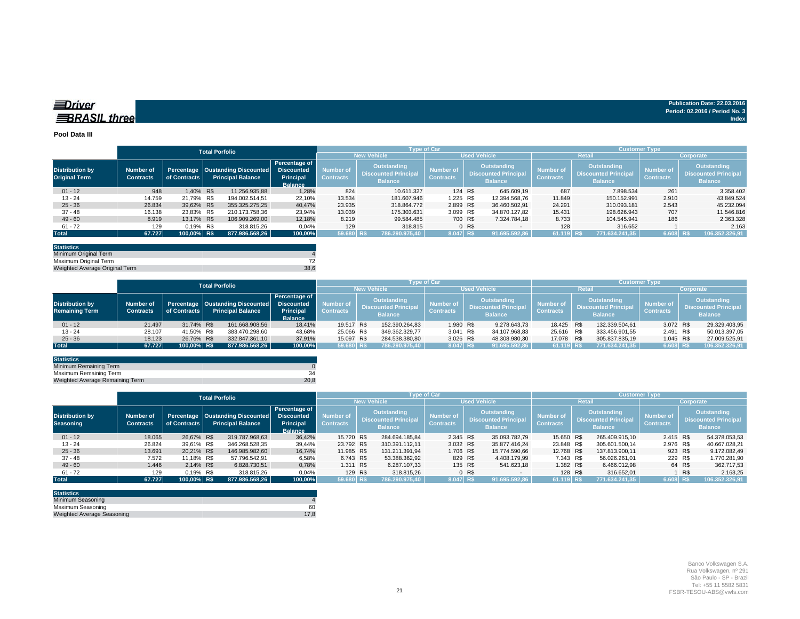| nriver | 2.03.2016                      |
|--------|--------------------------------|
|        | Period: 02.2016 / Period No. 3 |
|        | Index                          |

#### **Pool Data III**

|                                                |                                      |                            | <b>Total Porfolio</b> |                                                                     |                                                     |                               |                                                                     | <b>Type of Car</b>                   |                                                                     | <b>Customer Type</b>          |                                                                     |                                      |                                                                     |  |  |  |
|------------------------------------------------|--------------------------------------|----------------------------|-----------------------|---------------------------------------------------------------------|-----------------------------------------------------|-------------------------------|---------------------------------------------------------------------|--------------------------------------|---------------------------------------------------------------------|-------------------------------|---------------------------------------------------------------------|--------------------------------------|---------------------------------------------------------------------|--|--|--|
|                                                |                                      |                            |                       |                                                                     |                                                     |                               | <b>New Vehicle</b>                                                  |                                      | <b>Used Vehicle</b>                                                 |                               | <b>Retail</b>                                                       | Corporate                            |                                                                     |  |  |  |
| <b>Distribution by</b><br><b>Original Term</b> | <b>Number of</b><br><b>Contracts</b> | Percentage<br>of Contracts |                       | <b>Oustanding Discounted</b> Discounted<br><b>Principal Balance</b> | Percentage of<br><b>Principal</b><br><b>Balance</b> | Number of<br><b>Contracts</b> | <b>Outstanding</b><br><b>Discounted Principal</b><br><b>Balance</b> | <b>Number of</b><br><b>Contracts</b> | <b>Outstanding</b><br><b>Discounted Principal</b><br><b>Balance</b> | Number of<br><b>Contracts</b> | <b>Outstanding</b><br><b>Discounted Principal</b><br><b>Balance</b> | <b>Number of</b><br><b>Contracts</b> | <b>Outstanding</b><br><b>Discounted Principal</b><br><b>Balance</b> |  |  |  |
| $01 - 12$                                      | 948                                  | 1.40% R\$                  |                       | 11.256.935.88                                                       | 1.28%                                               | 824                           | 10.611.327                                                          | 124 R\$                              | 645.609.19                                                          | 687                           | 7.898.534                                                           | 261                                  | 3.358.402                                                           |  |  |  |
| $13 - 24$                                      | 14.759                               | 21,79% R\$                 |                       | 194.002.514.51                                                      | 22,10%                                              | 13.534                        | 181.607.946                                                         | 1.225 R\$                            | 12.394.568.76                                                       | 11.849                        | 150.152.991                                                         | 2.910                                | 43.849.524                                                          |  |  |  |
| $25 - 36$                                      | 26.834                               | 39,62% R\$                 |                       | 355.325.275.25                                                      | 40,47%                                              | 23.935                        | 318.864.772                                                         | 2.899 R\$                            | 36.460.502.91                                                       | 24.291                        | 310.093.181                                                         | 2.543                                | 45.232.094                                                          |  |  |  |
| $37 - 48$                                      | 16.138                               | 23.83% R\$                 |                       | 210.173.758,36                                                      | 23,94%                                              | 13.039                        | 175.303.631                                                         | 3.099 R\$                            | 34.870.127.82                                                       | 15.431                        | 198.626.943                                                         | 707                                  | 11.546.816                                                          |  |  |  |
| $49 - 60$                                      | 8.919                                | 13.17% R\$                 |                       | 106.909.269,00                                                      | 12,18%                                              | 8.219                         | 99.584.485                                                          | 700 R\$                              | 7.324.784.18                                                        | 8.733                         | 104.545.941                                                         | 186                                  | 2.363.328                                                           |  |  |  |
| $61 - 72$                                      | 129                                  | 0.19% R\$                  |                       | 318,815,26                                                          | 0.04%                                               | 129                           | 318.815                                                             |                                      | 0 <sub>R</sub><br>$-$                                               | 128                           | 316.652                                                             |                                      | 2.163                                                               |  |  |  |
| <b>Total</b>                                   | 67.727                               | 100,00% R\$                |                       | 877.986.568,26                                                      | 100,00%                                             | 59.680 R\$                    | 786.290.975.40                                                      | 8.047 R\$                            | 91.695.592.86                                                       | 61.119 R\$                    | 771.634.241.35                                                      | 6.608 R\$                            | 106.352.326,91                                                      |  |  |  |

| <b>Statistics</b>              |      |
|--------------------------------|------|
| Minimum Original Term          |      |
| Maximum Original Term          |      |
| Weighted Average Original Term | 38.6 |

|                                                 |                                      |              | <b>Total Porfolio</b> |                                                                             |                                              |                               | <b>Type of Car</b>                                                  |                |                               | <b>Customer Type</b> |                                                              |                       |                                      |            |                                                                     |                |                               |     |                                                              |
|-------------------------------------------------|--------------------------------------|--------------|-----------------------|-----------------------------------------------------------------------------|----------------------------------------------|-------------------------------|---------------------------------------------------------------------|----------------|-------------------------------|----------------------|--------------------------------------------------------------|-----------------------|--------------------------------------|------------|---------------------------------------------------------------------|----------------|-------------------------------|-----|--------------------------------------------------------------|
|                                                 |                                      |              |                       |                                                                             |                                              | <b>New Vehicle</b>            | <b>Used Vehicle</b>                                                 |                |                               |                      | Retai                                                        |                       |                                      |            | Corporate                                                           |                |                               |     |                                                              |
| <b>Distribution by</b><br><b>Remaining Term</b> | <b>Number of</b><br><b>Contracts</b> | of Contracts |                       | Percentage   Oustanding Discounted   Discounted<br><b>Principal Balance</b> | Percentage of<br>Principal<br><b>Balance</b> | Number of<br><b>Contracts</b> | <b>Outstanding</b><br><b>Discounted Principal</b><br><b>Balance</b> |                | Number of<br><b>Contracts</b> |                      | Outstanding<br><b>Discounted Principal</b><br><b>Balance</b> |                       | <b>Number of</b><br><b>Contracts</b> |            | <b>Outstanding</b><br><b>Discounted Principal</b><br><b>Balance</b> |                | Number of<br><b>Contracts</b> |     | Outstanding<br><b>Discounted Principal</b><br><b>Balance</b> |
| $01 - 12$                                       | 21.497                               | 31.74% R\$   |                       | 161.668.908,56                                                              | 18,41%                                       | 19.517 R\$                    |                                                                     | 152.390.264.83 |                               | 1.980 R\$            |                                                              | 9.278.643,73          |                                      | 18.425 R\$ |                                                                     | 132.339.504.61 | 3.072 R\$                     |     | 29.329.403,95                                                |
| $13 - 24$                                       | 28.107                               | 41.50% R\$   |                       | 383.470.298.60                                                              | 43,68%                                       | 25.066 R\$                    |                                                                     | 349.362.329.77 |                               | 3.041 R\$            |                                                              | 34.107.968,83         |                                      | 25.616 R\$ |                                                                     | 333.456.901.55 | 2.491                         | R\$ | 50.013.397,05                                                |
| $25 - 36$                                       | 18.123                               | 26.76% R\$   |                       | 332.847.361.10                                                              | 37,91%                                       | 15.097 R\$                    |                                                                     | 284.538.380.80 |                               | 3.026 R\$            |                                                              | 48.308.980.30         |                                      | 17.078 R\$ |                                                                     | 305.837.835.19 | 1.045 R\$                     |     | 27.009.525,91                                                |
| <b>Total</b>                                    | 67.727                               | 100.00% R\$  |                       | 877.986.568.26                                                              | 100.00%                                      | 59.680 R\$                    |                                                                     | 786.290.975.40 |                               | 8.047 R\$            |                                                              | $\big $ 91.695.592,86 |                                      | 61.119 R\$ |                                                                     | 771.634.241.35 | 6.608 R\$                     |     | 106.352.326,91                                               |

| <b>Statistics</b>               |      |
|---------------------------------|------|
| Minimum Remaining Term          |      |
| Maximum Remaining Term          |      |
| Weighted Average Remaining Term | 20.8 |

|                                            | <b>Total Porfolio</b>                |              |  |                                                                |                                                                          | <b>Type of Car</b>            |                                                                     |                     |                                                                                                             |         |                               |              | <b>Customer Type</b>                                                |                |                               |        |                                                              |  |
|--------------------------------------------|--------------------------------------|--------------|--|----------------------------------------------------------------|--------------------------------------------------------------------------|-------------------------------|---------------------------------------------------------------------|---------------------|-------------------------------------------------------------------------------------------------------------|---------|-------------------------------|--------------|---------------------------------------------------------------------|----------------|-------------------------------|--------|--------------------------------------------------------------|--|
|                                            |                                      |              |  |                                                                |                                                                          |                               | <b>New Vehicle</b>                                                  | <b>Used Vehicle</b> |                                                                                                             |         |                               | Retail       | Corporate                                                           |                |                               |        |                                                              |  |
| <b>Distribution by</b><br><b>Seasoning</b> | <b>Number of</b><br><b>Contracts</b> | of Contracts |  | Percentage   Oustanding Discounted<br><b>Principal Balance</b> | Percentage of<br><b>Discounted</b><br><b>Principal</b><br><b>Balance</b> | Number of<br><b>Contracts</b> | <b>Outstanding</b><br><b>Discounted Principal</b><br><b>Balance</b> |                     | <b>Outstanding</b><br><b>Number of</b><br><b>Discounted Principal</b><br><b>Contracts</b><br><b>Balance</b> |         | Number of<br><b>Contracts</b> |              | <b>Outstanding</b><br><b>Discounted Principal</b><br><b>Balance</b> |                | Number of<br><b>Contracts</b> |        | Outstanding<br><b>Discounted Principal</b><br><b>Balance</b> |  |
| $01 - 12$                                  | 18.065                               | 26.67% R\$   |  | 319.787.968.63                                                 | 36,42%                                                                   | 15.720 R\$                    |                                                                     | 284.694.185.84      | 2.345 R\$                                                                                                   |         | 35.093.782.79                 | 15.650 R\$   |                                                                     | 265.409.915.10 | 2.415 R\$                     |        | 54.378.053,53                                                |  |
| $13 - 24$                                  | 26.824                               | 39,61% R\$   |  | 346.268.528,35                                                 | 39,44%                                                                   | 23.792 R\$                    |                                                                     | 310.391.112.11      | 3.032 R\$                                                                                                   |         | 35.877.416.24                 | 23.848 R\$   |                                                                     | 305.601.500.14 | 2.976 R\$                     |        | 40.667.028,21                                                |  |
| $25 - 36$                                  | 13.691                               | 20,21% R\$   |  | 146.985.982,60                                                 | 16,74%                                                                   | 11.985 R\$                    |                                                                     | 131.211.391.94      | 1.706 R\$                                                                                                   |         | 15.774.590,66                 | 12.768 R\$   |                                                                     | 137.813.900.11 | 923 R\$                       |        | 9.172.082,49                                                 |  |
| $37 - 48$                                  | 7.572                                | 11.18% R\$   |  | 57.796.542.91                                                  | 6,58%                                                                    | 6.743 R\$                     |                                                                     | 53.388.362,92       | 829 R\$                                                                                                     |         | 4.408.179,99                  | 7.343 R\$    |                                                                     | 56.026.261.01  | 229 R\$                       |        | 1.770.281,90                                                 |  |
| $49 - 60$                                  | 1.446                                | 2,14% R\$    |  | 6.828.730.51                                                   | 0,78%                                                                    | 1.311 R\$                     |                                                                     | 6.287.107,33        |                                                                                                             | 135 R\$ | 541.623,18                    | 1.382 R\$    |                                                                     | 6.466.012,98   |                               | 64 R\$ | 362.717,53                                                   |  |
| $61 - 72$                                  | 129                                  | 0.19% R\$    |  | 318.815,26                                                     | 0,04%                                                                    | 129 R\$                       |                                                                     | 318.815,26          |                                                                                                             | 0 R\$   | $\sim$                        | 128 R\$      |                                                                     | 316.652,01     |                               | R\$    | 2.163,25                                                     |  |
| <b>Total</b>                               | 67.727                               | 100.00% R\$  |  | 877.986.568.26                                                 | 100,00%                                                                  | 59.680 R\$                    |                                                                     | 786.290.975.40      | 8.047 R\$                                                                                                   |         | 91.695.592.86                 | $161.119$ RS |                                                                     | 771.634.241,35 | 6.608 R\$                     |        | 106.352.326.91                                               |  |

| <b>Statistics</b>          |      |
|----------------------------|------|
| Minimum Seasoning          |      |
| Maximum Seasoning          | 60   |
| Weighted Average Seasoning | 17.8 |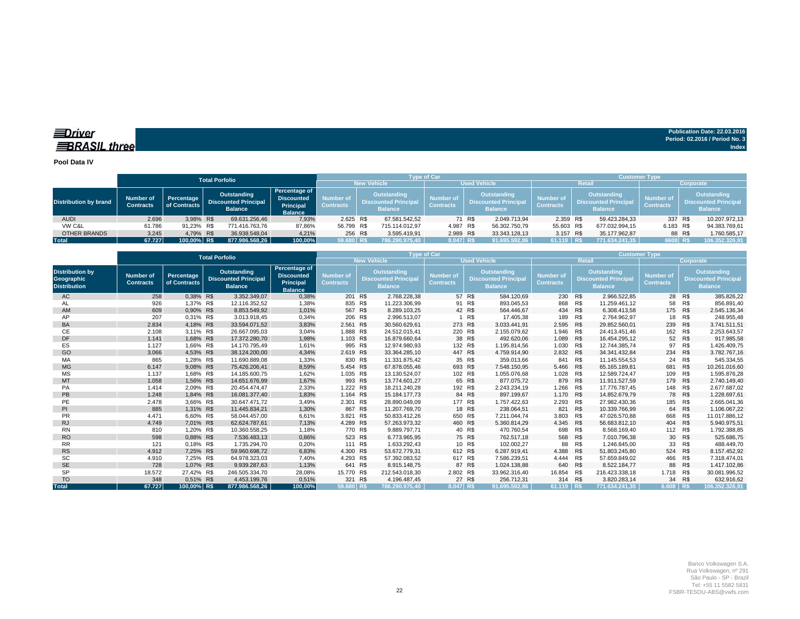### *<u>IDriver</u>* **BRASIL** three

**Publication Date: 22.03.2016 Period: 02.2016 / Period No. 3 Index**

#### **Pool Data IV**

|                              |                               |                            | <b>Total Porfolio</b>                                        |                                                                          |                                      |                         | <b>Type of Car</b>                                                  |                                      |                                                                     |               | <b>Customer Type</b>                                                                                        |               |                               |         |                                                                    |                |  |
|------------------------------|-------------------------------|----------------------------|--------------------------------------------------------------|--------------------------------------------------------------------------|--------------------------------------|-------------------------|---------------------------------------------------------------------|--------------------------------------|---------------------------------------------------------------------|---------------|-------------------------------------------------------------------------------------------------------------|---------------|-------------------------------|---------|--------------------------------------------------------------------|----------------|--|
|                              |                               |                            |                                                              |                                                                          |                                      | <b>New Vehicle</b>      |                                                                     | <b>Used Vehicle</b>                  |                                                                     |               |                                                                                                             | <b>Retail</b> |                               |         | Corporate                                                          |                |  |
| <b>Distribution by brand</b> | Number of<br><b>Contracts</b> | Percentage<br>of Contracts | Outstanding<br><b>Discounted Principal</b><br><b>Balance</b> | Percentage of<br><b>Discounted</b><br><b>Principal</b><br><b>Balance</b> | <b>Number</b> of<br><b>Contracts</b> |                         | <b>Outstanding</b><br><b>Discounted Principal</b><br><b>Balance</b> | <b>Number of</b><br><b>Contracts</b> | <b>Outstanding</b><br><b>Discounted Principal</b><br><b>Balance</b> |               | <b>Outstanding</b><br><b>Number of</b><br><b>Discounted Principal</b><br><b>Contracts</b><br><b>Balance</b> |               | Number of<br><b>Contracts</b> |         | <b>Outstanding</b><br><b>Discounted Principa</b><br><b>Balance</b> |                |  |
| <b>AUDI</b>                  | 2.696                         | 3.98% R\$                  | 69.631.256.46                                                | 7.93%                                                                    | 2.625 R\$                            |                         | 67.581.542.52                                                       |                                      | 71 R\$                                                              | 2.049.713.94  | 2.359 R\$                                                                                                   |               | 59.423.284.33                 | 337     | R\$                                                                | 10.207.972,13  |  |
| VW C&L                       | 61.786                        | 91.23% R\$                 | 771.416.763.76                                               | 87.86%                                                                   | 56.799 R\$                           |                         | 715.114.012.97                                                      | 4.987 R\$                            |                                                                     | 56.302.750,79 | 55.603 R\$                                                                                                  |               | 677.032.994.15                | 6.183   | R\$                                                                | 94.383.769,61  |  |
| OTHER BRANDS                 | 3.245                         | 4,79% R\$                  | 36.938.548.04                                                | 4.21%                                                                    |                                      | 256 R\$<br>3.595.419.91 |                                                                     | 2.989 R\$                            |                                                                     | 33.343.128.13 | 3.157 R\$                                                                                                   |               | 35.177.962.87                 |         | 88 R\$                                                             | 1.760.585,17   |  |
| Total                        | 67.727                        | 100,00% R\$                | 877.986.568.26                                               | 100.00%                                                                  | 59.680 RS                            |                         | 786.290.975.40                                                      | 8.047 RS                             |                                                                     | 91.695.592,86 | 61.119 R\$                                                                                                  |               | 771.634.241.35                | 6608 RS |                                                                    | 106.352.326.91 |  |

|                                                                    |                                      |                            | <b>Total Porfolio</b>                                        |                                                                          |                                                                                                     | Type of Car<br><b>Customer Type</b> |                               |                                                                     |                     |                               |                                                                     |                |                               |                                                                     |                |  |  |  |
|--------------------------------------------------------------------|--------------------------------------|----------------------------|--------------------------------------------------------------|--------------------------------------------------------------------------|-----------------------------------------------------------------------------------------------------|-------------------------------------|-------------------------------|---------------------------------------------------------------------|---------------------|-------------------------------|---------------------------------------------------------------------|----------------|-------------------------------|---------------------------------------------------------------------|----------------|--|--|--|
|                                                                    |                                      |                            |                                                              |                                                                          |                                                                                                     | <b>New Vehicle</b>                  |                               |                                                                     | <b>Used Vehicle</b> |                               | <b>Retail</b>                                                       | Corporate      |                               |                                                                     |                |  |  |  |
| <b>Distribution by</b><br><b>Geographic</b><br><b>Distribution</b> | <b>Number of</b><br><b>Contracts</b> | Percentage<br>of Contracts | Outstanding<br><b>Discounted Principal</b><br><b>Balance</b> | Percentage of<br><b>Discounted</b><br><b>Principal</b><br><b>Balance</b> | <b>Outstanding</b><br>Number of<br><b>Discounted Principa</b><br><b>Contracts</b><br><b>Balance</b> |                                     | Number of<br><b>Contracts</b> | <b>Outstanding</b><br><b>Discounted Principal</b><br><b>Balance</b> |                     | Number of<br><b>Contracts</b> | <b>Outstanding</b><br><b>Discounted Principal</b><br><b>Balance</b> |                | Number of<br><b>Contracts</b> | <b>Outstanding</b><br><b>Discounted Principal</b><br><b>Balance</b> |                |  |  |  |
| AC                                                                 | 258                                  | 0.38% R\$                  | 3.352.349.07                                                 | 0,38%                                                                    | 201 R\$                                                                                             | 2.768.228.38                        |                               | 57 R\$                                                              | 584.120.69          | 230 R\$                       |                                                                     | 2.966.522.85   | 28                            | R\$                                                                 | 385.826,22     |  |  |  |
| AL                                                                 | 926                                  | 1.37% R\$                  | 12.116.352.52                                                | 1,38%                                                                    | 835 R\$                                                                                             | 11.223.306.99                       |                               | 91 R\$                                                              | 893.045.53          | 868                           | R\$                                                                 | 11.259.461.12  | 58                            | R\$                                                                 | 856.891,40     |  |  |  |
| AM                                                                 | 609                                  | 0,90% R\$                  | 8.853.549.92                                                 | 1,01%                                                                    | 567 R\$                                                                                             | 8.289.103.25                        |                               | 42 R\$                                                              | 564.446.67          | 434                           | R\$                                                                 | 6.308.413,58   | 175                           | R\$                                                                 | 2.545.136,34   |  |  |  |
| AP                                                                 | 207                                  | 0,31% R\$                  | 3.013.918.45                                                 | 0,34%                                                                    | 206 R\$                                                                                             | 2.996.513,07                        |                               | R\$                                                                 | 17.405,38           | 189                           | R\$                                                                 | 2.764.962,97   | 18                            | R\$                                                                 | 248.955,48     |  |  |  |
| BA                                                                 | 2.834                                | 4.18% R\$                  | 33.594.071.52                                                | 3,83%                                                                    | 2.561 R\$                                                                                           | 30.560.629.61                       |                               | 273 R\$                                                             | 3.033.441.91        | 2.595                         | <b>R\$</b>                                                          | 29.852.560.01  | 239                           | R\$                                                                 | 3.741.511,51   |  |  |  |
| СE                                                                 | 2.108                                | 3.11% R\$                  | 26.667.095.03                                                | 3.04%                                                                    | 1.888 R\$                                                                                           | 24.512.015.41                       |                               | 220 R\$                                                             | 2.155.079.62        | 1.946                         | R\$                                                                 | 24.413.451.46  | 162                           | R\$                                                                 | 2.253.643.57   |  |  |  |
| <b>DF</b>                                                          | 1.141                                | 1.68% R\$                  | 17.372.280,70                                                | 1,98%                                                                    | 1.103 R\$                                                                                           | 16.879.660.64                       |                               | 38 R\$                                                              | 492.620.06          | 1.089                         | R\$                                                                 | 16.454.295,12  | 52                            | R\$                                                                 | 917.985,58     |  |  |  |
| ES                                                                 | 1.127                                | 1.66% R\$                  | 14.170.795.49                                                | 1,61%                                                                    | 995 R\$                                                                                             | 12.974.980.93                       | 132                           | R\$                                                                 | 1.195.814.56        | 1.030                         | R\$                                                                 | 12.744.385.74  | 97                            | R\$                                                                 | 1.426.409,75   |  |  |  |
| GO                                                                 | 3.066                                | 4,53% R\$                  | 38.124.200,00                                                | 4,34%                                                                    | 2.619 R\$                                                                                           | 33.364.285,10                       |                               | 447 R\$                                                             | 4.759.914,90        | 2.832 R\$                     |                                                                     | 34.341.432,84  | 234                           | R\$                                                                 | 3.782.767,16   |  |  |  |
| MA                                                                 | 865                                  | 1.28% R\$                  | 11.690.889.08                                                | 1,33%                                                                    | 830 R\$                                                                                             | 11.331.875.42                       | 35                            | R\$                                                                 | 359.013.66          | 841                           | R\$                                                                 | 11.145.554.53  | 24                            | R\$                                                                 | 545.334.55     |  |  |  |
| <b>MG</b>                                                          | 6.147                                | 9.08% R\$                  | 75.426.206.41                                                | 8,59%                                                                    | 5.454 R\$                                                                                           | 67.878.055.46                       |                               | 693 R\$                                                             | 7.548.150.95        | 5.466 R\$                     |                                                                     | 65.165.189.81  | 681                           | R\$                                                                 | 10.261.016,60  |  |  |  |
| <b>MS</b>                                                          | 1.137                                | 1.68% R\$                  | 14.185.600.75                                                | 1,62%                                                                    | 1.035 R\$                                                                                           | 13.130.524.07                       |                               | 102 R\$                                                             | 1.055.076.68        | 1.028                         | R\$                                                                 | 12.589.724.47  | 109                           | R\$                                                                 | 1.595.876.28   |  |  |  |
| <b>MT</b>                                                          | 1.058                                | 1.56% R\$                  | 14.651.676.99                                                | 1,67%                                                                    | 993 R\$                                                                                             | 13.774.601.27                       |                               | 65 R\$                                                              | 877.075.72          | 879 R\$                       |                                                                     | 11.911.527,59  | 179                           | R\$                                                                 | 2.740.149,40   |  |  |  |
| PA                                                                 | 1.414                                | 2.09% R\$                  | 20.454.474.47                                                | 2,33%                                                                    | 1.222 R\$                                                                                           | 18.211.240,28                       |                               | 192 R\$                                                             | 2.243.234,19        | 1.266                         | R\$                                                                 | 17.776.787,45  | 148                           | R\$                                                                 | 2.677.687,02   |  |  |  |
| PB                                                                 | 1.248                                | 1.84% R\$                  | 16.081.377.40                                                | 1,83%                                                                    | 1.164 R\$                                                                                           | 15.184.177.73                       |                               | 84 R\$                                                              | 897.199.67          | 1.170 R\$                     |                                                                     | 14.852.679.79  | 78                            | R\$                                                                 | 1.228.697,61   |  |  |  |
| PE                                                                 | 2.478                                | 3.66% R\$                  | 30.647.471.72                                                | 3,49%                                                                    | 2.301 R\$                                                                                           | 28.890.049.09                       |                               | 177 R\$                                                             | 1.757.422.63        | 2.293                         | R\$                                                                 | 27.982.430.36  | 185                           | R\$                                                                 | 2.665.041,36   |  |  |  |
| PI                                                                 | 885                                  | 1.31% R\$                  | 11.445.834.21                                                | 1,30%                                                                    | 867 R\$                                                                                             | 11.207.769.70                       |                               | 18 R\$                                                              | 238.064.51          | 821                           | R\$                                                                 | 10.339.766.99  | 64                            | R\$                                                                 | 1.106.067,22   |  |  |  |
| <b>PR</b>                                                          | 4.471                                | 6.60% R\$                  | 58.044.457.00                                                | 6,61%                                                                    | 3.821                                                                                               | R\$<br>50.833.412.26                | 650                           | R\$                                                                 | 7.211.044.74        | 3.803                         | R\$                                                                 | 47.026.570.88  | 668                           | R\$                                                                 | 11.017.886,12  |  |  |  |
| <b>RJ</b>                                                          | 4.749                                | 7,01% R\$                  | 62.624.787.61                                                | 7,13%                                                                    | 4.289 R\$                                                                                           | 57.263.973.32                       |                               | 460 R\$                                                             | 5.360.814,29        | 4.345 R\$                     |                                                                     | 56.683.812,10  | 404                           | R\$                                                                 | 5.940.975,51   |  |  |  |
| <b>RN</b>                                                          | 810                                  | 1.20% R\$                  | 10.360.558,25                                                | 1,18%                                                                    | 770 R\$                                                                                             | 9.889.797,71                        |                               | 40 R\$                                                              | 470.760,54          | 698                           | R\$                                                                 | 8.568.169,40   | 112                           | R\$                                                                 | 1.792.388,85   |  |  |  |
| <b>RO</b>                                                          | 598                                  | 0,88% R\$                  | 7.536.483,13                                                 | 0,86%                                                                    | 523 R\$                                                                                             | 6.773.965,95                        |                               | 75 R\$                                                              | 762.517,18          | 568 R\$                       |                                                                     | 7.010.796,38   | 30                            | R\$                                                                 | 525.686,75     |  |  |  |
| <b>RR</b>                                                          | 121                                  | 0.18% R\$                  | 1.735.294.70                                                 | 0,20%                                                                    | 111 R\$                                                                                             | 1.633.292.43                        |                               | 10 R\$                                                              | 102.002.27          | 88                            | R\$                                                                 | 1.246.845.00   | 33                            | R\$                                                                 | 488.449.70     |  |  |  |
| <b>RS</b>                                                          | 4.912                                | 7.25% R\$                  | 59.960.698.72                                                | 6,83%                                                                    | 4.300 R\$                                                                                           | 53.672.779.31                       |                               | 612 R\$                                                             | 6.287.919.41        | 4.388                         | R\$                                                                 | 51.803.245.80  | 524                           | R\$                                                                 | 8.157.452,92   |  |  |  |
| <b>SC</b>                                                          | 4.910                                | 7.25% R\$                  | 64.978.323.03                                                | 7.40%                                                                    | 4.293 R\$                                                                                           | 57.392.083,52                       |                               | 617 R\$                                                             | 7.586.239,51        | 4.444                         | R\$                                                                 | 57.659.849.02  | 466                           | R\$                                                                 | 7.318.474.01   |  |  |  |
| <b>SE</b>                                                          | 728                                  | 1,07% R\$                  | 9.939.287,63                                                 | 1,13%                                                                    | 641 R\$                                                                                             | 8.915.148,75                        |                               | 87 R\$                                                              | 1.024.138,88        | 640 R\$                       |                                                                     | 8.522.184,77   | 88                            | R\$                                                                 | 1.417.102,86   |  |  |  |
| <b>SP</b>                                                          | 18.572                               | 27.42% R\$                 | 246.505.334,70                                               | 28,08%                                                                   | 15.770 R\$                                                                                          | 212.543.018.30                      | 2.802 R\$                     |                                                                     | 33.962.316,40       | 16.854                        | R\$                                                                 | 216.423.338,18 | 1.718                         | R\$                                                                 | 30.081.996,52  |  |  |  |
| <b>TO</b>                                                          | 348                                  | 0.51% R\$                  | 4.453.199,76                                                 | 0,51%                                                                    | 321                                                                                                 | R\$<br>4.196.487.45                 |                               | 27 R\$                                                              | 256.712.31          | 314                           | R\$                                                                 | 3.820.283.14   | 34                            | R\$                                                                 | 632.916.62     |  |  |  |
| <b>Total</b>                                                       | 67.727                               | 100.00% R\$                | 877.986.568.26                                               | 100.00%                                                                  | 59.680 R\$                                                                                          | 786.290.975.40                      | 8.047 RS                      |                                                                     | 91.695.592.86       | 61.119 R\$                    |                                                                     | 771.634.241.35 | 6.608                         | R\$                                                                 | 106.352.326.91 |  |  |  |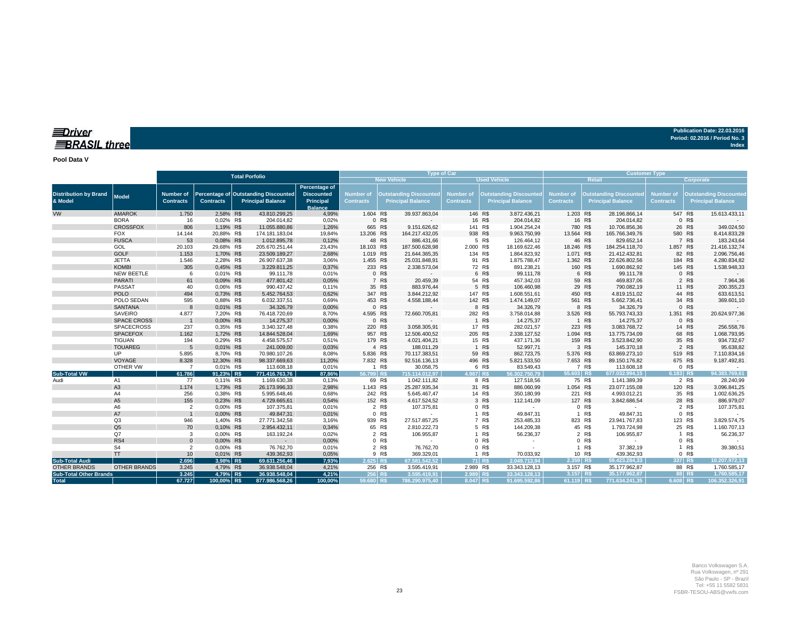### *<u>IDriver</u>* **BRASIL three**

**Publication Date: 22.03.2016 Period: 02.2016 / Period No. 3 Index**

**Pool Data V**

|                                         |                       |                               |                        |                                                                  | <b>Type of Car</b>                                                |                               | <b>Customer Type</b> |                                                           |                                      |                 |                                                           |                               |            |                                                           |                                      |                  |                                                           |
|-----------------------------------------|-----------------------|-------------------------------|------------------------|------------------------------------------------------------------|-------------------------------------------------------------------|-------------------------------|----------------------|-----------------------------------------------------------|--------------------------------------|-----------------|-----------------------------------------------------------|-------------------------------|------------|-----------------------------------------------------------|--------------------------------------|------------------|-----------------------------------------------------------|
|                                         | <b>Total Porfolio</b> |                               |                        |                                                                  | <b>New Vehicle</b><br><b>Used Vehicle</b>                         |                               |                      |                                                           |                                      |                 |                                                           | <b>Retail</b>                 | Corporate, |                                                           |                                      |                  |                                                           |
| <b>Distribution by Brand</b><br>& Model | Model                 | Number of<br><b>Contracts</b> | <b>Contracts</b>       | Percentage of Outstanding Discounted<br><b>Principal Balance</b> | Percentage of<br><b>Discounted</b><br>Principal<br><b>Balance</b> | Number of<br><b>Contracts</b> |                      | <b>Outstanding Discounted</b><br><b>Principal Balance</b> | <b>Number of</b><br><b>Contracts</b> |                 | <b>Outstanding Discounted</b><br><b>Principal Balance</b> | Number of<br><b>Contracts</b> |            | <b>Outstanding Discounted</b><br><b>Principal Balance</b> | <b>Number of</b><br><b>Contracts</b> |                  | <b>Outstanding Discounted</b><br><b>Principal Balance</b> |
| <b>VW</b>                               | <b>AMAROK</b>         | 1.750                         | 2,58% R\$              | 43.810.299,25                                                    | 4,99%                                                             | 1.604 R\$                     |                      | 39.937.863,04                                             |                                      | 146 R\$         | 3.872.436,21                                              | 1.203 R\$                     |            | 28.196.866,14                                             | 547 R\$                              |                  | 15.613.433,11                                             |
|                                         | <b>BORA</b>           | 16                            | 0,02% R\$              | 204.014,82                                                       | 0,02%                                                             |                               | 0 R\$                |                                                           |                                      | 16 R\$          | 204.014,82                                                |                               | 16 R\$     | 204.014,82                                                |                                      | 0 R\$            |                                                           |
|                                         | <b>CROSSFOX</b>       | 806                           | 1,19% R\$              | 11.055.880,86                                                    | 1,26%                                                             |                               | 665 R\$              | 9.151.626,62                                              |                                      | 141 R\$         | 1.904.254,24                                              | 780 R\$                       |            | 10.706.856,36                                             |                                      | 26 R\$           | 349.024,50                                                |
|                                         | <b>FOX</b>            | 14.144                        | 20,88% R\$             | 174.181.183,04                                                   | 19,84%                                                            | 13.206 R\$                    |                      | 164.217.432,05                                            |                                      | 938 R\$         | 9.963.750,99                                              | 13.564 R\$                    |            | 165.766.349,76                                            | 580 R\$                              |                  | 8.414.833,28                                              |
|                                         | <b>FUSCA</b>          | 53                            | 0,08% R\$              | 1.012.895,78                                                     | 0,12%                                                             |                               | 48 R\$               | 886.431,66                                                |                                      | 5 R\$           | 126.464,12                                                |                               | 46 R\$     | 829.652,14                                                |                                      | 7 R\$            | 183.243,64                                                |
|                                         | GOL                   | 20.103                        | 29,68% R\$             | 205.670.251,44                                                   | 23,43%                                                            | 18.103 R\$                    |                      | 187.500.628,98                                            | 2.000 R\$                            |                 | 18.169.622,46                                             | 18.246 R\$                    |            | 184.254.118,70                                            | 1.857 R\$                            |                  | 21.416.132,74                                             |
|                                         | <b>GOLF</b>           | 1.153                         | 1,70% R\$              | 23.509.189,27                                                    | 2,68%                                                             | 1.019 R\$                     |                      | 21.644.365,35                                             |                                      | 134 R\$         | 1.864.823,92                                              | 1.071 R\$                     |            | 21.412.432,81                                             |                                      | 82 R\$           | 2.096.756,46                                              |
|                                         | <b>JETTA</b>          | 1.546                         | 2,28% R\$              | 26.907.637,38                                                    | 3,06%                                                             | 1.455 R\$                     |                      | 25.031.848,91                                             |                                      | 91 R\$          | 1.875.788,47                                              | 1.362 R\$                     |            | 22.626.802,56                                             | 184 R\$                              |                  | 4.280.834,82                                              |
|                                         | <b>KOMBI</b>          | 305                           | 0,45% R\$              | 3.229.811,25                                                     | 0,37%                                                             |                               | 233 R\$              | 2.338.573,04                                              |                                      | 72 R\$          | 891.238,21                                                | 160 R\$                       |            | 1.690.862,92                                              | 145 R\$                              |                  | 1.538.948,33                                              |
|                                         | NEW BEETLE            | 6                             | 0,01% R\$              | 99.111,78                                                        | 0,01%                                                             |                               | 0 R\$                |                                                           |                                      | 6 R\$           | 99.111,78                                                 |                               | 6 R\$      | 99.111,78                                                 |                                      | 0 R\$            |                                                           |
|                                         | <b>PARATI</b>         | 61                            | 0,09% R\$              | 477.801,42                                                       | 0,05%                                                             |                               | 7 R\$                | 20.459,39                                                 |                                      | 54 R\$          | 457.342,03                                                |                               | 59 R\$     | 469.837,06                                                |                                      | 2 R\$            | 7.964,36                                                  |
|                                         | PASSAT                | 40                            | 0,06% R\$              | 990.437,42                                                       | 0,11%                                                             |                               | 35 R\$               | 883.976,44                                                |                                      | 5 R\$           | 106.460,98                                                |                               | 29 R\$     | 790.082,19                                                |                                      | 11 R\$           | 200.355,23                                                |
|                                         | <b>POLO</b>           | 494                           | 0,73% R\$              | 5.452.764,53                                                     | 0,62%                                                             |                               | 347 R\$              | 3.844.212,92                                              |                                      | 147 R\$         | 1.608.551,61                                              | 450 R\$                       |            | 4.819.151,02                                              |                                      | 44 R\$           | 633.613,51                                                |
|                                         | POLO SEDAN            | 595                           | 0,88% R\$              | 6.032.337,51                                                     | 0,69%                                                             |                               | 453 R\$              | 4.558.188,44                                              |                                      | 142 R\$         | 1.474.149,07                                              | 561 R\$                       |            | 5.662.736,41                                              |                                      | 34 R\$           | 369.601,10                                                |
|                                         | <b>SANTANA</b>        | $\mathsf{R}$                  | 0,01% R\$              | 34.326,79                                                        | 0,00%                                                             |                               | 0 R\$                |                                                           |                                      | 8 R\$           | 34.326,79                                                 |                               | 8 R\$      | 34.326,79                                                 |                                      | 0 R\$            |                                                           |
|                                         | SAVEIRO               | 4.877                         | 7,20% R\$              | 76.418.720,69                                                    | 8,70%                                                             | 4.595 R\$                     |                      | 72.660.705,81                                             |                                      | 282 R\$         | 3.758.014,88                                              | 3.526 R\$                     |            | 55.793.743,33                                             | 1.351 R\$                            |                  | 20.624.977,36                                             |
|                                         | <b>SPACE CROSS</b>    |                               | 0,00% R\$              | 14.275,37                                                        | 0,00%                                                             |                               | 0 R\$                |                                                           |                                      | 1 R\$           | 14.275,37                                                 |                               | 1 R\$      | 14.275,37                                                 |                                      | 0 R\$            |                                                           |
|                                         | <b>SPACECROSS</b>     | 237                           | 0,35% R\$              | 3.340.327,48                                                     | 0,38%                                                             |                               | 220 R\$              | 3.058.305,91                                              |                                      | 17 R\$          | 282.021,57                                                | 223 R\$                       |            | 3.083.768,72                                              |                                      | 14 R\$           | 256.558,76                                                |
|                                         | <b>SPACEFOX</b>       | 1.162                         | 1,72% R\$              | 14.844.528,04                                                    | 1,69%                                                             |                               | 957 R\$              | 12.506.400,52                                             |                                      | 205 R\$         | 2.338.127,52                                              | 1.094 R\$                     |            | 13.775.734,09                                             |                                      | 68 R\$           | 1.068.793,95                                              |
|                                         | <b>TIGUAN</b>         | 194                           | 0,29% R\$              | 4.458.575,57                                                     | 0,51%                                                             |                               | 179 R\$              | 4.021.404,21                                              |                                      | 15 R\$          | 437.171,36                                                | 159 R\$                       |            | 3.523.842,90                                              |                                      | 35 R\$           | 934.732,67                                                |
|                                         | <b>TOUAREG</b>        |                               | 0,01% R\$              | 241.009,00                                                       | 0,03%                                                             |                               | 4 R\$                | 188.011,29                                                |                                      | 1 R\$           | 52.997,71                                                 |                               | 3 R\$      | 145.370,18                                                |                                      | 2 R\$            | 95.638,82                                                 |
|                                         | UP                    | 5.895                         | 8,70% R\$              | 70.980.107,26                                                    | 8,08%                                                             | 5.836 R\$                     |                      | 70.117.383,51                                             |                                      | 59 R\$          | 862.723,75                                                | 5.376 R\$                     |            | 63.869.273,10                                             | 519 R\$                              |                  | 7.110.834,16                                              |
|                                         | VOYAGE                | 8.328                         | 12,30% R\$             | 98.337.669,63                                                    | 11,20%                                                            | 7.832 R\$                     |                      | 92.516.136,13                                             |                                      | 496 R\$         | 5.821.533,50                                              | 7.653 R\$                     |            | 89.150.176,82                                             | 675 R\$                              |                  | 9.187.492,81                                              |
|                                         | OTHER VW              | $\overline{7}$                | 0,01% R\$              | 113.608,18                                                       | 0,01%                                                             |                               | 1 R\$                | 30.058,75                                                 |                                      | 6 R\$           | 83.549,43                                                 |                               | 7 R\$      | 113.608,18                                                |                                      | 0 R\$            |                                                           |
| <b>Sub-Total VW</b>                     |                       | 61.786                        | 91,23% R\$             | 771.416.763,76                                                   | 87,86%                                                            | 56.799 R\$                    |                      | 715.114.012.97                                            | 4.987 RS                             |                 | 56.302.750.79                                             | $55.603$ R\$                  |            | 677.032.994,15                                            | 6.183 R\$                            |                  | 94.383.769,61                                             |
| Audi                                    | A1                    | 77                            | 0,11% R\$              | 1.169.630,38                                                     | 0,13%                                                             |                               | 69 R\$               | 1.042.111,82                                              |                                      | 8 R\$           | 127.518,56                                                |                               | 75 R\$     | 1.141.389,39                                              |                                      | 2 R\$            | 28.240,99                                                 |
|                                         | A <sub>3</sub>        | 1.174                         | 1,73% R\$              | 26.173.996,33                                                    | 2,98%                                                             | 1.143 R\$                     |                      | 25.287.935,34                                             |                                      | 31 R\$          | 886.060,99                                                | 1.054 R\$                     |            | 23.077.155,08                                             | 120 R\$                              |                  | 3.096.841,25                                              |
|                                         | A4<br>A <sub>5</sub>  | 256<br>155                    | 0,38% R\$<br>0,23% R\$ | 5.995.648,46                                                     | 0,68%<br>0,54%                                                    |                               | 242 R\$<br>152 R\$   | 5.645.467,47                                              |                                      | 14 R\$<br>3 R\$ | 350.180,99                                                | 221 R\$                       |            | 4.993.012,21                                              |                                      | 35 R\$<br>28 R\$ | 1.002.636,25                                              |
|                                         | A <sub>6</sub>        | $\overline{2}$                | 0,00% R\$              | 4.729.665,61<br>107.375,81                                       | 0,01%                                                             |                               | 2 R\$                | 4.617.524,52<br>107.375,81                                |                                      | 0 R\$           | 112.141,09<br>$\sim$                                      | 127 R\$                       | 0 R\$      | 3.842.686,54                                              |                                      | 2 R\$            | 886.979,07                                                |
|                                         | A7                    |                               | 0,00% R\$              | 49.847,31                                                        | 0,01%                                                             |                               | 0 R\$                |                                                           |                                      | 1 R\$           | 49.847,31                                                 |                               | 1 R\$      | 49.847,31                                                 |                                      | 0 R\$            | 107.375,81                                                |
|                                         | Q <sub>3</sub>        | 946                           | 1,40% R\$              | 27.771.342,58                                                    | 3,16%                                                             |                               | 939 R\$              | 27.517.857,25                                             |                                      | 7 R\$           | 253.485,33                                                | 823 R\$                       |            | 23.941.767,83                                             | 123 R\$                              |                  | 3.829.574,75                                              |
|                                         | Q <sub>5</sub>        | 70                            | 0,10% R\$              | 2.954.432,11                                                     | 0,34%                                                             |                               | 65 R\$               | 2.810.222,73                                              |                                      | 5 R\$           | 144.209,38                                                |                               | 45 R\$     | 1.793.724,98                                              |                                      | 25 R\$           | 1.160.707,13                                              |
|                                         | Q7                    | 3                             | 0,00% R\$              | 163.192,24                                                       | 0,02%                                                             |                               | 2 R\$                | 106.955,87                                                |                                      | 1 R\$           | 56.236,37                                                 |                               | 2 R\$      | 106.955,87                                                |                                      | 1 R\$            | 56.236,37                                                 |
|                                         | RS4                   | $\Omega$                      | 0,00% R\$              | $\sim 10^{-1}$                                                   | 0,00%                                                             |                               | 0 R\$                |                                                           |                                      | 0 R\$           |                                                           |                               | 0 R\$      |                                                           |                                      | 0 R\$            |                                                           |
|                                         | S <sub>4</sub>        | $\overline{2}$                | 0,00% R\$              | 76.762,70                                                        | 0,01%                                                             |                               | 2 R\$                | 76.762,70                                                 |                                      | 0 R\$           |                                                           |                               | 1 R\$      | 37.382,19                                                 | $\mathbf{1}$                         | R\$              | 39.380,51                                                 |
|                                         | <b>TT</b>             | 10                            | 0,01% R\$              | 439.362,93                                                       | 0,05%                                                             |                               | 9 R\$                | 369.329,01                                                | $\mathbf{1}$                         | R\$             | 70.033,92                                                 |                               | 10 R\$     | 439.362,93                                                |                                      | 0 R\$            |                                                           |
| <b>Sub-Total Audi</b>                   |                       | 2.696                         | 3.98% R\$              | 69.631.256.46                                                    | 7.93%                                                             | 2.625 R\$                     |                      | 67.581.542.52                                             |                                      | 71 R\$          | 2.049.713.94                                              | $2.359$ R\$                   |            | 59.423.284,33                                             | 337 R\$                              |                  | 10.207.972,13                                             |
| <b>OTHER BRANDS</b>                     | <b>OTHER BRANDS</b>   | 3.245                         | 4,79% R\$              | 36.938.548,04                                                    | 4,21%                                                             |                               | 256 R\$              | 3.595.419,91                                              | 2.989 R\$                            |                 | 33.343.128,13                                             | 3.157 R\$                     |            | 35.177.962,87                                             |                                      | 88 R\$           | 1.760.585,17                                              |
| <b>Sub-Total Other Brands</b>           |                       | 3.245                         | 4,79% R\$              | 36.938.548.04                                                    | 4,21%                                                             |                               | 256 R\$              | 3.595.419.91                                              | 2.989 R\$                            |                 | 33.343.128.13                                             | $3.157$ R\$                   |            | 35.177.962.87                                             | 88 RS                                |                  | 1.760.585,17                                              |
| <b>Total</b>                            |                       | 67.727                        | 100.00% R\$            | 877.986.568.26                                                   | 100.00%                                                           | 59.680 R\$                    |                      | 786.290.975,40                                            | 8.047 R\$                            |                 | 91.695.592.86                                             | 61.119 R\$                    |            | 771.634.241,35                                            | 6.608 RS                             |                  | 106.352.326.91                                            |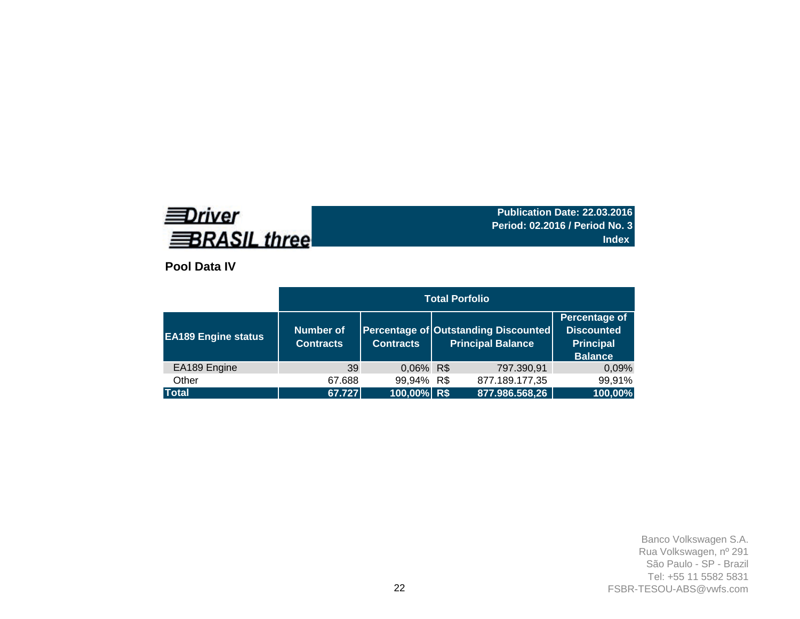# **EDriver BRASIL three**

**Publication Date: 22.03.2016 Period: 02.2016 / Period No. 3 Index**

**Pool Data IV**

|                            |                                      |                  | <b>Total Porfolio</b>                                            |                                                                          |
|----------------------------|--------------------------------------|------------------|------------------------------------------------------------------|--------------------------------------------------------------------------|
| <b>EA189 Engine status</b> | <b>Number of</b><br><b>Contracts</b> | <b>Contracts</b> | Percentage of Outstanding Discounted<br><b>Principal Balance</b> | Percentage of<br><b>Discounted</b><br><b>Principal</b><br><b>Balance</b> |
| EA189 Engine               | 39                                   | 0,06% R\$        | 797.390,91                                                       | 0,09%                                                                    |
| Other                      | 67.688                               | 99,94% R\$       | 877.189.177,35                                                   | 99,91%                                                                   |
| <b>Total</b>               | 67.727                               | 100,00% R\$      | 877.986.568,26                                                   | 100,00%                                                                  |